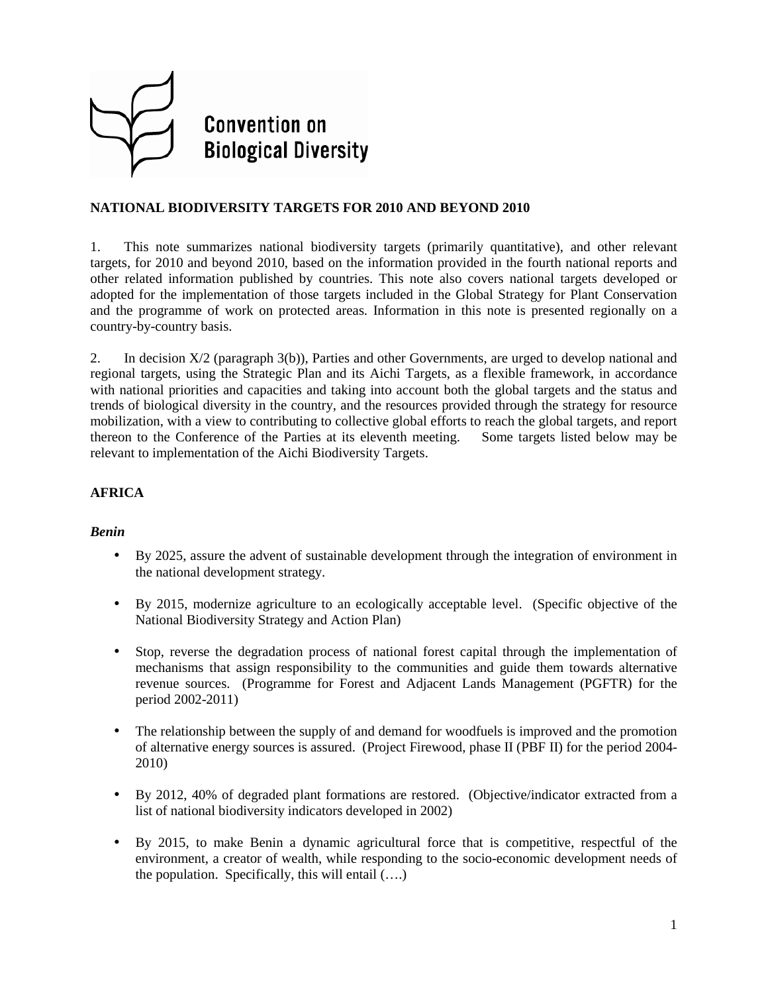

# **NATIONAL BIODIVERSITY TARGETS FOR 2010 AND BEYOND 2010**

1. This note summarizes national biodiversity targets (primarily quantitative), and other relevant targets, for 2010 and beyond 2010, based on the information provided in the fourth national reports and other related information published by countries. This note also covers national targets developed or adopted for the implementation of those targets included in the Global Strategy for Plant Conservation and the programme of work on protected areas. Information in this note is presented regionally on a country-by-country basis.

2. In decision X/2 (paragraph 3(b)), Parties and other Governments, are urged to develop national and regional targets, using the Strategic Plan and its Aichi Targets, as a flexible framework, in accordance with national priorities and capacities and taking into account both the global targets and the status and trends of biological diversity in the country, and the resources provided through the strategy for resource mobilization, with a view to contributing to collective global efforts to reach the global targets, and report thereon to the Conference of the Parties at its eleventh meeting. Some targets listed below may be relevant to implementation of the Aichi Biodiversity Targets.

# **AFRICA**

### *Benin*

- By 2025, assure the advent of sustainable development through the integration of environment in the national development strategy.
- By 2015, modernize agriculture to an ecologically acceptable level. (Specific objective of the National Biodiversity Strategy and Action Plan)
- Stop, reverse the degradation process of national forest capital through the implementation of mechanisms that assign responsibility to the communities and guide them towards alternative revenue sources. (Programme for Forest and Adjacent Lands Management (PGFTR) for the period 2002-2011)
- The relationship between the supply of and demand for woodfuels is improved and the promotion of alternative energy sources is assured. (Project Firewood, phase II (PBF II) for the period 2004- 2010)
- By 2012, 40% of degraded plant formations are restored. (Objective/indicator extracted from a list of national biodiversity indicators developed in 2002)
- By 2015, to make Benin a dynamic agricultural force that is competitive, respectful of the environment, a creator of wealth, while responding to the socio-economic development needs of the population. Specifically, this will entail (….)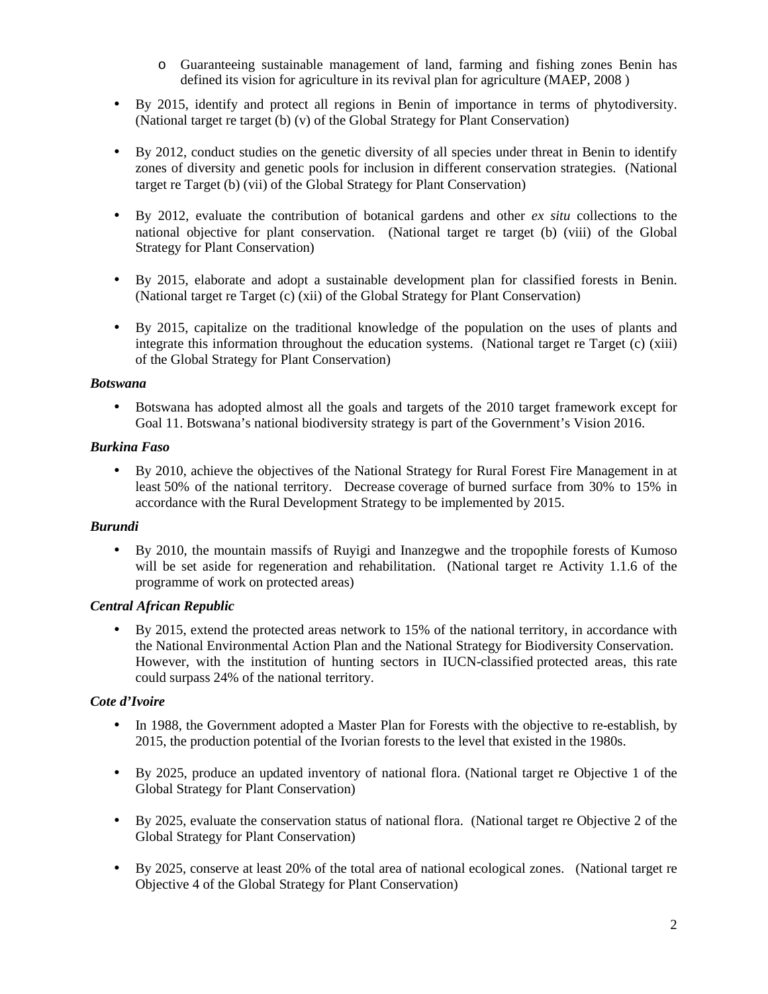- o Guaranteeing sustainable management of land, farming and fishing zones Benin has defined its vision for agriculture in its revival plan for agriculture (MAEP, 2008 )
- By 2015, identify and protect all regions in Benin of importance in terms of phytodiversity. (National target re target (b) (v) of the Global Strategy for Plant Conservation)
- By 2012, conduct studies on the genetic diversity of all species under threat in Benin to identify zones of diversity and genetic pools for inclusion in different conservation strategies. (National target re Target (b) (vii) of the Global Strategy for Plant Conservation)
- By 2012, evaluate the contribution of botanical gardens and other *ex situ* collections to the national objective for plant conservation. (National target re target (b) (viii) of the Global Strategy for Plant Conservation)
- By 2015, elaborate and adopt a sustainable development plan for classified forests in Benin. (National target re Target (c) (xii) of the Global Strategy for Plant Conservation)
- By 2015, capitalize on the traditional knowledge of the population on the uses of plants and integrate this information throughout the education systems. (National target re Target (c) (xiii) of the Global Strategy for Plant Conservation)

### *Botswana*

• Botswana has adopted almost all the goals and targets of the 2010 target framework except for Goal 11. Botswana's national biodiversity strategy is part of the Government's Vision 2016.

## *Burkina Faso*

• By 2010, achieve the objectives of the National Strategy for Rural Forest Fire Management in at least 50% of the national territory. Decrease coverage of burned surface from 30% to 15% in accordance with the Rural Development Strategy to be implemented by 2015.

### *Burundi*

• By 2010, the mountain massifs of Ruyigi and Inanzegwe and the tropophile forests of Kumoso will be set aside for regeneration and rehabilitation. (National target re Activity 1.1.6 of the programme of work on protected areas)

# *Central African Republic*

• By 2015, extend the protected areas network to 15% of the national territory, in accordance with the National Environmental Action Plan and the National Strategy for Biodiversity Conservation. However, with the institution of hunting sectors in IUCN-classified protected areas, this rate could surpass 24% of the national territory.

# *Cote d'Ivoire*

- In 1988, the Government adopted a Master Plan for Forests with the objective to re-establish, by 2015, the production potential of the Ivorian forests to the level that existed in the 1980s.
- By 2025, produce an updated inventory of national flora. (National target re Objective 1 of the Global Strategy for Plant Conservation)
- By 2025, evaluate the conservation status of national flora. (National target re Objective 2 of the Global Strategy for Plant Conservation)
- By 2025, conserve at least 20% of the total area of national ecological zones. (National target re Objective 4 of the Global Strategy for Plant Conservation)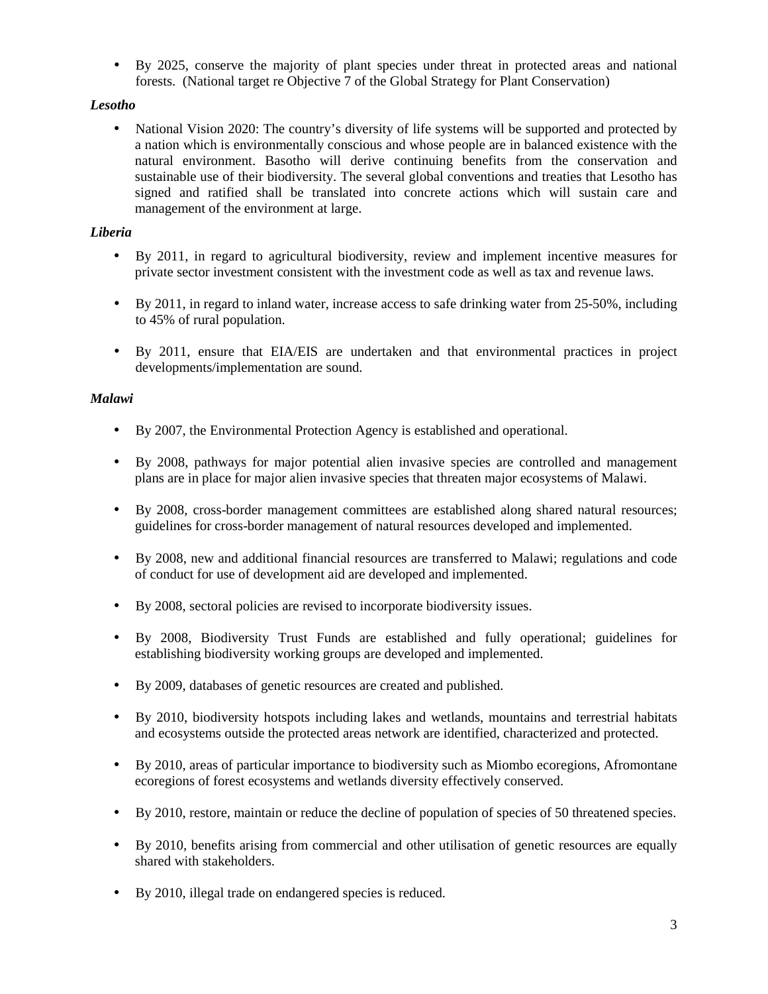• By 2025, conserve the majority of plant species under threat in protected areas and national forests. (National target re Objective 7 of the Global Strategy for Plant Conservation)

# *Lesotho*

• National Vision 2020: The country's diversity of life systems will be supported and protected by a nation which is environmentally conscious and whose people are in balanced existence with the natural environment. Basotho will derive continuing benefits from the conservation and sustainable use of their biodiversity. The several global conventions and treaties that Lesotho has signed and ratified shall be translated into concrete actions which will sustain care and management of the environment at large.

# *Liberia*

- By 2011, in regard to agricultural biodiversity, review and implement incentive measures for private sector investment consistent with the investment code as well as tax and revenue laws.
- By 2011, in regard to inland water, increase access to safe drinking water from 25-50%, including to 45% of rural population.
- By 2011, ensure that EIA/EIS are undertaken and that environmental practices in project developments/implementation are sound.

# *Malawi*

- By 2007, the Environmental Protection Agency is established and operational.
- By 2008, pathways for major potential alien invasive species are controlled and management plans are in place for major alien invasive species that threaten major ecosystems of Malawi.
- By 2008, cross-border management committees are established along shared natural resources; guidelines for cross-border management of natural resources developed and implemented.
- By 2008, new and additional financial resources are transferred to Malawi; regulations and code of conduct for use of development aid are developed and implemented.
- By 2008, sectoral policies are revised to incorporate biodiversity issues.
- By 2008, Biodiversity Trust Funds are established and fully operational; guidelines for establishing biodiversity working groups are developed and implemented.
- By 2009, databases of genetic resources are created and published.
- By 2010, biodiversity hotspots including lakes and wetlands, mountains and terrestrial habitats and ecosystems outside the protected areas network are identified, characterized and protected.
- By 2010, areas of particular importance to biodiversity such as Miombo ecoregions, Afromontane ecoregions of forest ecosystems and wetlands diversity effectively conserved.
- By 2010, restore, maintain or reduce the decline of population of species of 50 threatened species.
- By 2010, benefits arising from commercial and other utilisation of genetic resources are equally shared with stakeholders.
- By 2010, illegal trade on endangered species is reduced.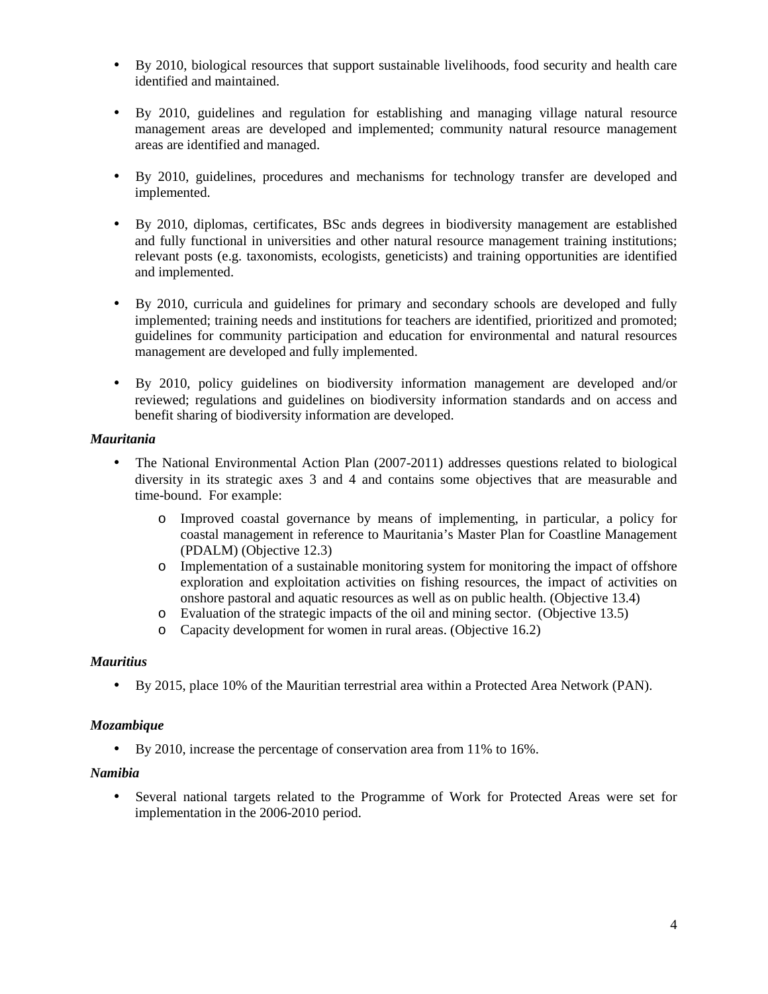- By 2010, biological resources that support sustainable livelihoods, food security and health care identified and maintained.
- By 2010, guidelines and regulation for establishing and managing village natural resource management areas are developed and implemented; community natural resource management areas are identified and managed.
- By 2010, guidelines, procedures and mechanisms for technology transfer are developed and implemented.
- By 2010, diplomas, certificates, BSc ands degrees in biodiversity management are established and fully functional in universities and other natural resource management training institutions; relevant posts (e.g. taxonomists, ecologists, geneticists) and training opportunities are identified and implemented.
- By 2010, curricula and guidelines for primary and secondary schools are developed and fully implemented; training needs and institutions for teachers are identified, prioritized and promoted; guidelines for community participation and education for environmental and natural resources management are developed and fully implemented.
- By 2010, policy guidelines on biodiversity information management are developed and/or reviewed; regulations and guidelines on biodiversity information standards and on access and benefit sharing of biodiversity information are developed.

## *Mauritania*

- The National Environmental Action Plan (2007-2011) addresses questions related to biological diversity in its strategic axes 3 and 4 and contains some objectives that are measurable and time-bound. For example:
	- o Improved coastal governance by means of implementing, in particular, a policy for coastal management in reference to Mauritania's Master Plan for Coastline Management (PDALM) (Objective 12.3)
	- o Implementation of a sustainable monitoring system for monitoring the impact of offshore exploration and exploitation activities on fishing resources, the impact of activities on onshore pastoral and aquatic resources as well as on public health. (Objective 13.4)
	- o Evaluation of the strategic impacts of the oil and mining sector. (Objective 13.5)
	- o Capacity development for women in rural areas. (Objective 16.2)

### *Mauritius*

• By 2015, place 10% of the Mauritian terrestrial area within a Protected Area Network (PAN).

# *Mozambique*

• By 2010, increase the percentage of conservation area from 11% to 16%.

# *Namibia*

• Several national targets related to the Programme of Work for Protected Areas were set for implementation in the 2006-2010 period.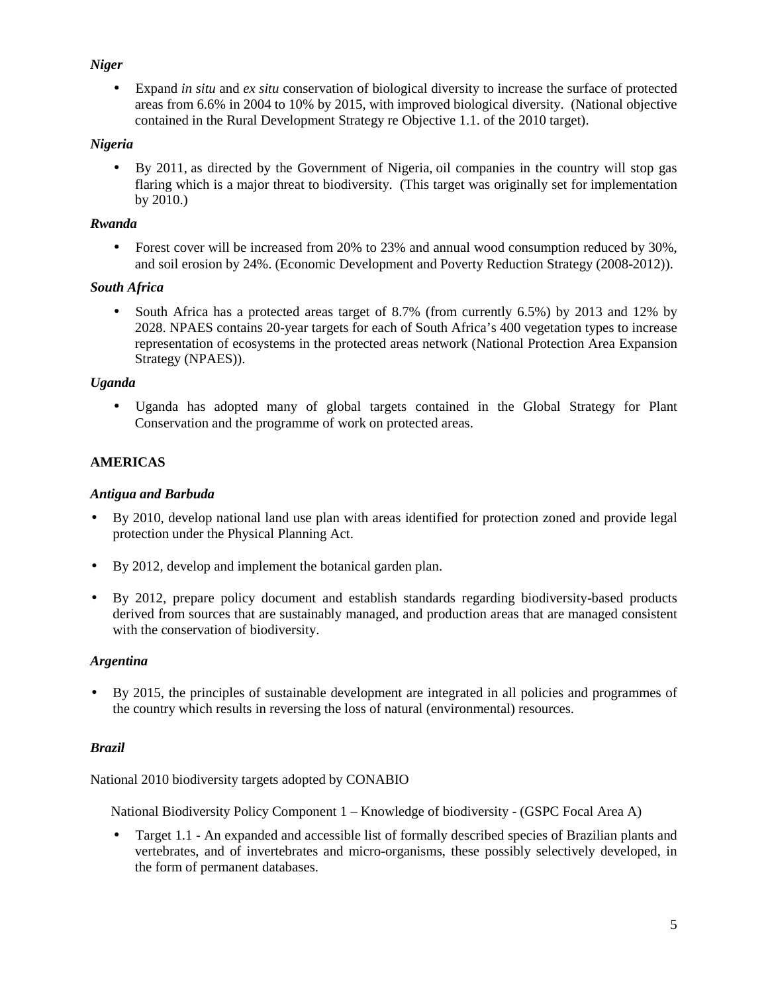# *Niger*

• Expand *in situ* and *ex situ* conservation of biological diversity to increase the surface of protected areas from 6.6% in 2004 to 10% by 2015, with improved biological diversity. (National objective contained in the Rural Development Strategy re Objective 1.1. of the 2010 target).

## *Nigeria*

• By 2011, as directed by the Government of Nigeria, oil companies in the country will stop gas flaring which is a major threat to biodiversity. (This target was originally set for implementation by 2010.)

## *Rwanda*

• Forest cover will be increased from 20% to 23% and annual wood consumption reduced by 30%, and soil erosion by 24%. (Economic Development and Poverty Reduction Strategy (2008-2012)).

## *South Africa*

• South Africa has a protected areas target of 8.7% (from currently 6.5%) by 2013 and 12% by 2028. NPAES contains 20-year targets for each of South Africa's 400 vegetation types to increase representation of ecosystems in the protected areas network (National Protection Area Expansion Strategy (NPAES)).

## *Uganda*

• Uganda has adopted many of global targets contained in the Global Strategy for Plant Conservation and the programme of work on protected areas.

# **AMERICAS**

## *Antigua and Barbuda*

- By 2010, develop national land use plan with areas identified for protection zoned and provide legal protection under the Physical Planning Act.
- By 2012, develop and implement the botanical garden plan.
- By 2012, prepare policy document and establish standards regarding biodiversity-based products derived from sources that are sustainably managed, and production areas that are managed consistent with the conservation of biodiversity.

### *Argentina*

• By 2015, the principles of sustainable development are integrated in all policies and programmes of the country which results in reversing the loss of natural (environmental) resources.

### *Brazil*

National 2010 biodiversity targets adopted by CONABIO

National Biodiversity Policy Component 1 – Knowledge of biodiversity - (GSPC Focal Area A)

• Target 1.1 - An expanded and accessible list of formally described species of Brazilian plants and vertebrates, and of invertebrates and micro-organisms, these possibly selectively developed, in the form of permanent databases.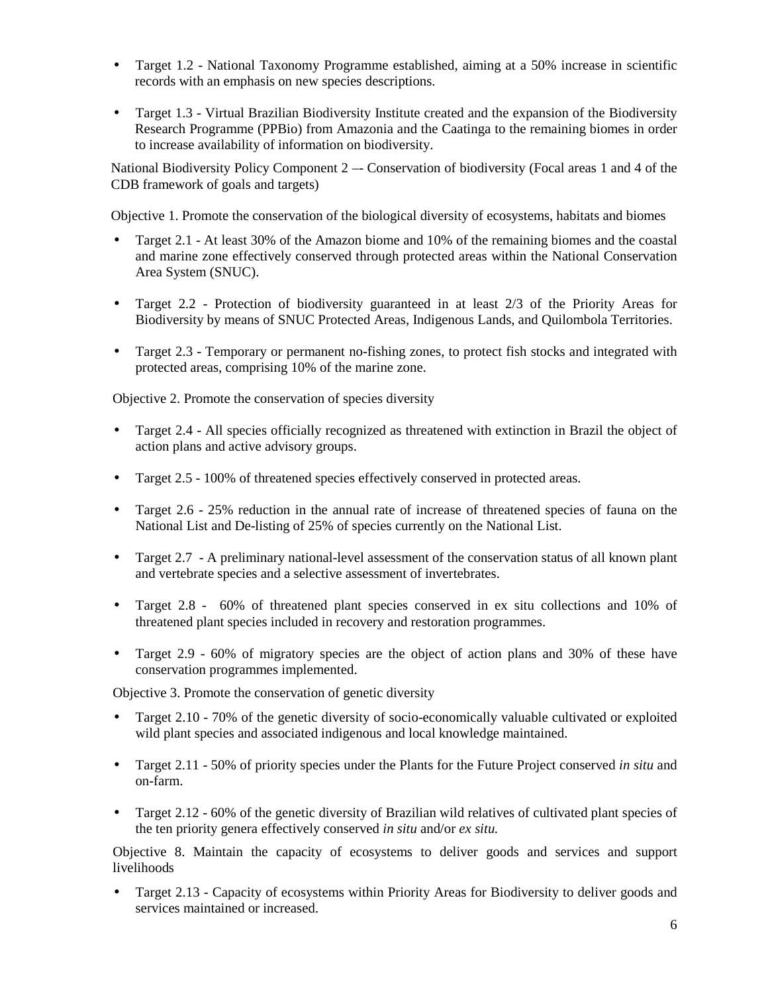- Target 1.2 National Taxonomy Programme established, aiming at a 50% increase in scientific records with an emphasis on new species descriptions.
- Target 1.3 Virtual Brazilian Biodiversity Institute created and the expansion of the Biodiversity Research Programme (PPBio) from Amazonia and the Caatinga to the remaining biomes in order to increase availability of information on biodiversity.

National Biodiversity Policy Component 2 –- Conservation of biodiversity (Focal areas 1 and 4 of the CDB framework of goals and targets)

Objective 1. Promote the conservation of the biological diversity of ecosystems, habitats and biomes

- Target 2.1 At least 30% of the Amazon biome and 10% of the remaining biomes and the coastal and marine zone effectively conserved through protected areas within the National Conservation Area System (SNUC).
- Target 2.2 Protection of biodiversity guaranteed in at least 2/3 of the Priority Areas for Biodiversity by means of SNUC Protected Areas, Indigenous Lands, and Quilombola Territories.
- Target 2.3 Temporary or permanent no-fishing zones, to protect fish stocks and integrated with protected areas, comprising 10% of the marine zone.

Objective 2. Promote the conservation of species diversity

- Target 2.4 All species officially recognized as threatened with extinction in Brazil the object of action plans and active advisory groups.
- Target 2.5 100% of threatened species effectively conserved in protected areas.
- Target 2.6 25% reduction in the annual rate of increase of threatened species of fauna on the National List and De-listing of 25% of species currently on the National List.
- Target 2.7 A preliminary national-level assessment of the conservation status of all known plant and vertebrate species and a selective assessment of invertebrates.
- Target 2.8 60% of threatened plant species conserved in ex situ collections and 10% of threatened plant species included in recovery and restoration programmes.
- Target 2.9 60% of migratory species are the object of action plans and 30% of these have conservation programmes implemented.

Objective 3. Promote the conservation of genetic diversity

- Target 2.10 70% of the genetic diversity of socio-economically valuable cultivated or exploited wild plant species and associated indigenous and local knowledge maintained.
- Target 2.11 50% of priority species under the Plants for the Future Project conserved *in situ* and on-farm.
- Target 2.12 60% of the genetic diversity of Brazilian wild relatives of cultivated plant species of the ten priority genera effectively conserved *in situ* and/or *ex situ.*

Objective 8. Maintain the capacity of ecosystems to deliver goods and services and support livelihoods

• Target 2.13 - Capacity of ecosystems within Priority Areas for Biodiversity to deliver goods and services maintained or increased.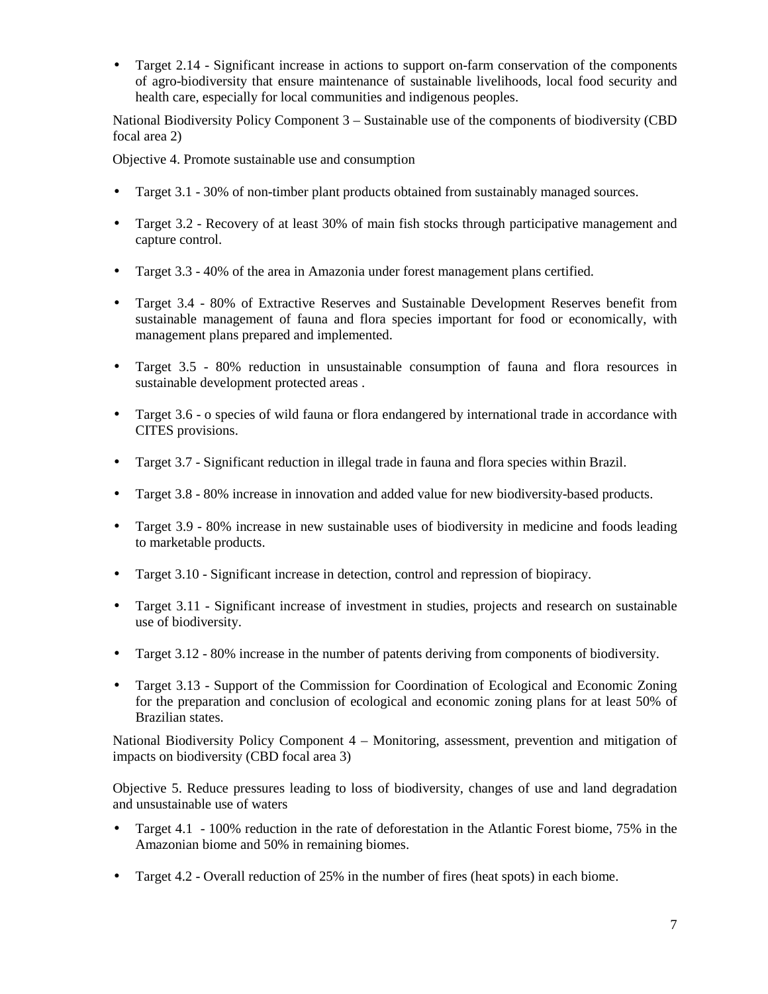• Target 2.14 - Significant increase in actions to support on-farm conservation of the components of agro-biodiversity that ensure maintenance of sustainable livelihoods, local food security and health care, especially for local communities and indigenous peoples.

National Biodiversity Policy Component 3 – Sustainable use of the components of biodiversity (CBD focal area 2)

Objective 4. Promote sustainable use and consumption

- Target 3.1 30% of non-timber plant products obtained from sustainably managed sources.
- Target 3.2 Recovery of at least 30% of main fish stocks through participative management and capture control.
- Target 3.3 40% of the area in Amazonia under forest management plans certified.
- Target 3.4 80% of Extractive Reserves and Sustainable Development Reserves benefit from sustainable management of fauna and flora species important for food or economically, with management plans prepared and implemented.
- Target 3.5 80% reduction in unsustainable consumption of fauna and flora resources in sustainable development protected areas .
- Target 3.6 o species of wild fauna or flora endangered by international trade in accordance with CITES provisions.
- Target 3.7 Significant reduction in illegal trade in fauna and flora species within Brazil.
- Target 3.8 80% increase in innovation and added value for new biodiversity-based products.
- Target 3.9 80% increase in new sustainable uses of biodiversity in medicine and foods leading to marketable products.
- Target 3.10 Significant increase in detection, control and repression of biopiracy.
- Target 3.11 Significant increase of investment in studies, projects and research on sustainable use of biodiversity.
- Target 3.12 80% increase in the number of patents deriving from components of biodiversity.
- Target 3.13 Support of the Commission for Coordination of Ecological and Economic Zoning for the preparation and conclusion of ecological and economic zoning plans for at least 50% of Brazilian states.

National Biodiversity Policy Component 4 – Monitoring, assessment, prevention and mitigation of impacts on biodiversity (CBD focal area 3)

Objective 5. Reduce pressures leading to loss of biodiversity, changes of use and land degradation and unsustainable use of waters

- Target 4.1 100% reduction in the rate of deforestation in the Atlantic Forest biome, 75% in the Amazonian biome and 50% in remaining biomes.
- Target 4.2 Overall reduction of 25% in the number of fires (heat spots) in each biome.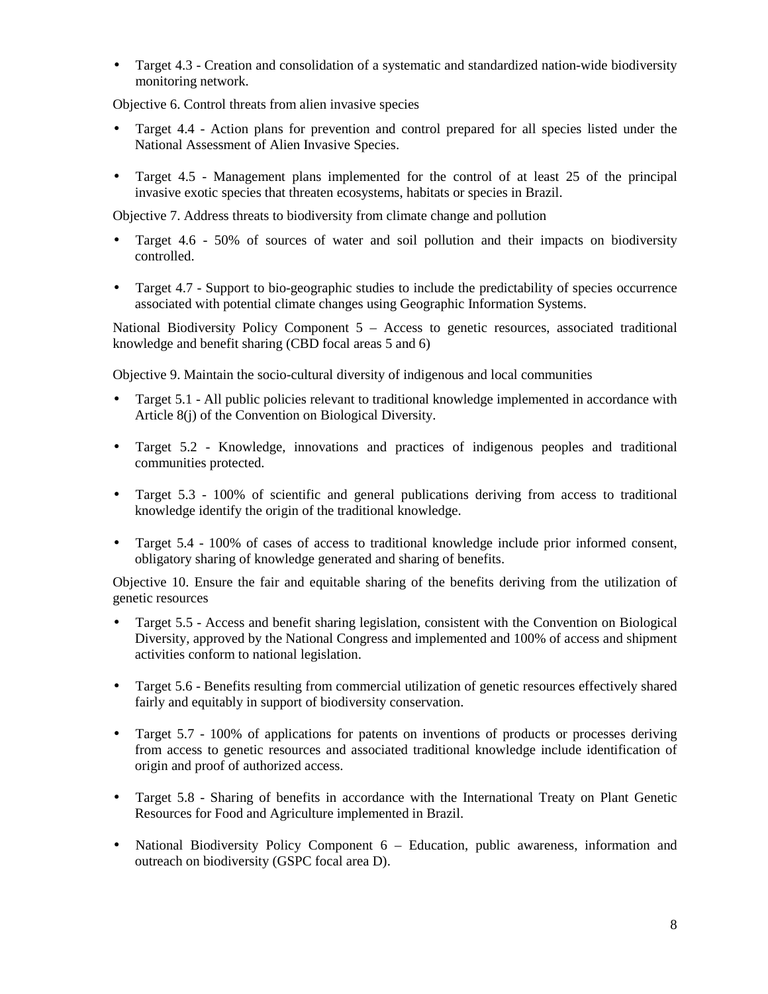• Target 4.3 - Creation and consolidation of a systematic and standardized nation-wide biodiversity monitoring network.

Objective 6. Control threats from alien invasive species

- Target 4.4 Action plans for prevention and control prepared for all species listed under the National Assessment of Alien Invasive Species.
- Target 4.5 Management plans implemented for the control of at least 25 of the principal invasive exotic species that threaten ecosystems, habitats or species in Brazil.

Objective 7. Address threats to biodiversity from climate change and pollution

- Target 4.6 50% of sources of water and soil pollution and their impacts on biodiversity controlled.
- Target 4.7 Support to bio-geographic studies to include the predictability of species occurrence associated with potential climate changes using Geographic Information Systems.

National Biodiversity Policy Component  $5 -$  Access to genetic resources, associated traditional knowledge and benefit sharing (CBD focal areas 5 and 6)

Objective 9. Maintain the socio-cultural diversity of indigenous and local communities

- Target 5.1 All public policies relevant to traditional knowledge implemented in accordance with Article 8(j) of the Convention on Biological Diversity.
- Target 5.2 Knowledge, innovations and practices of indigenous peoples and traditional communities protected.
- Target 5.3 100% of scientific and general publications deriving from access to traditional knowledge identify the origin of the traditional knowledge.
- Target 5.4 100% of cases of access to traditional knowledge include prior informed consent, obligatory sharing of knowledge generated and sharing of benefits.

Objective 10. Ensure the fair and equitable sharing of the benefits deriving from the utilization of genetic resources

- Target 5.5 Access and benefit sharing legislation, consistent with the Convention on Biological Diversity, approved by the National Congress and implemented and 100% of access and shipment activities conform to national legislation.
- Target 5.6 Benefits resulting from commercial utilization of genetic resources effectively shared fairly and equitably in support of biodiversity conservation.
- Target 5.7 100% of applications for patents on inventions of products or processes deriving from access to genetic resources and associated traditional knowledge include identification of origin and proof of authorized access.
- Target 5.8 Sharing of benefits in accordance with the International Treaty on Plant Genetic Resources for Food and Agriculture implemented in Brazil.
- National Biodiversity Policy Component 6 Education, public awareness, information and outreach on biodiversity (GSPC focal area D).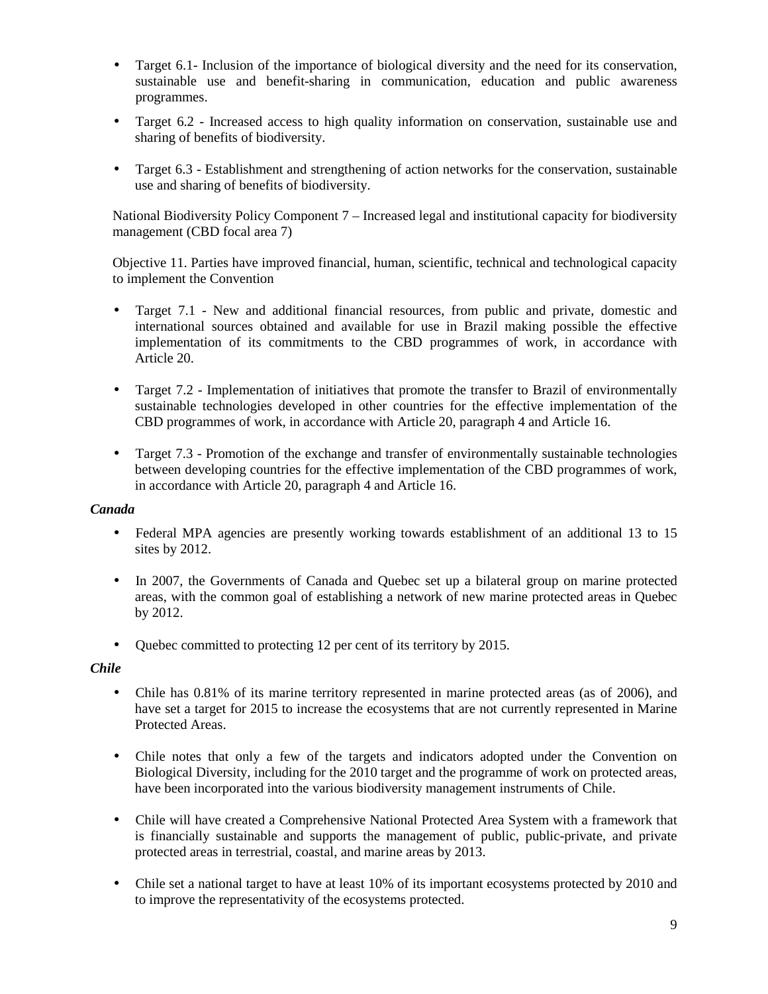- Target 6.1- Inclusion of the importance of biological diversity and the need for its conservation, sustainable use and benefit-sharing in communication, education and public awareness programmes.
- Target 6.2 Increased access to high quality information on conservation, sustainable use and sharing of benefits of biodiversity.
- Target 6.3 Establishment and strengthening of action networks for the conservation, sustainable use and sharing of benefits of biodiversity.

National Biodiversity Policy Component 7 – Increased legal and institutional capacity for biodiversity management (CBD focal area 7)

Objective 11. Parties have improved financial, human, scientific, technical and technological capacity to implement the Convention

- Target 7.1 New and additional financial resources, from public and private, domestic and international sources obtained and available for use in Brazil making possible the effective implementation of its commitments to the CBD programmes of work, in accordance with Article 20.
- Target 7.2 Implementation of initiatives that promote the transfer to Brazil of environmentally sustainable technologies developed in other countries for the effective implementation of the CBD programmes of work, in accordance with Article 20, paragraph 4 and Article 16.
- Target 7.3 Promotion of the exchange and transfer of environmentally sustainable technologies between developing countries for the effective implementation of the CBD programmes of work, in accordance with Article 20, paragraph 4 and Article 16.

### *Canada*

- Federal MPA agencies are presently working towards establishment of an additional 13 to 15 sites by 2012.
- In 2007, the Governments of Canada and Quebec set up a bilateral group on marine protected areas, with the common goal of establishing a network of new marine protected areas in Quebec by 2012.
- Quebec committed to protecting 12 per cent of its territory by 2015.

### *Chile*

- Chile has  $0.81\%$  of its marine territory represented in marine protected areas (as of 2006), and have set a target for 2015 to increase the ecosystems that are not currently represented in Marine Protected Areas.
- Chile notes that only a few of the targets and indicators adopted under the Convention on Biological Diversity, including for the 2010 target and the programme of work on protected areas, have been incorporated into the various biodiversity management instruments of Chile.
- Chile will have created a Comprehensive National Protected Area System with a framework that is financially sustainable and supports the management of public, public-private, and private protected areas in terrestrial, coastal, and marine areas by 2013.
- Chile set a national target to have at least 10% of its important ecosystems protected by 2010 and to improve the representativity of the ecosystems protected.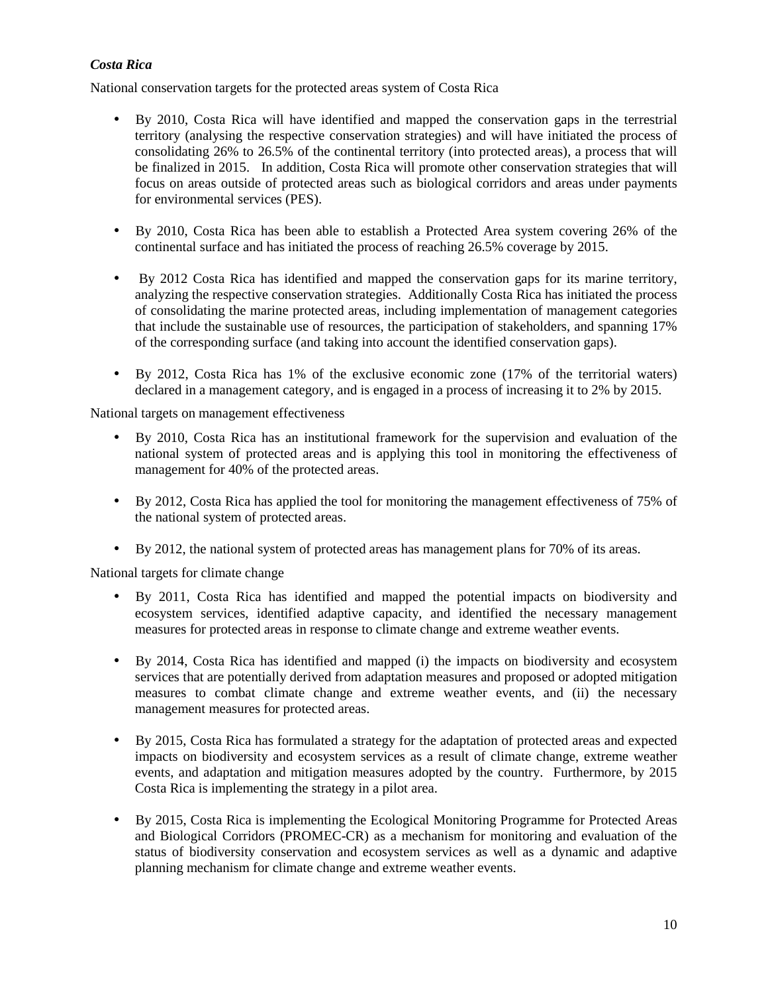## *Costa Rica*

National conservation targets for the protected areas system of Costa Rica

- By 2010, Costa Rica will have identified and mapped the conservation gaps in the terrestrial territory (analysing the respective conservation strategies) and will have initiated the process of consolidating 26% to 26.5% of the continental territory (into protected areas), a process that will be finalized in 2015. In addition, Costa Rica will promote other conservation strategies that will focus on areas outside of protected areas such as biological corridors and areas under payments for environmental services (PES).
- By 2010, Costa Rica has been able to establish a Protected Area system covering 26% of the continental surface and has initiated the process of reaching 26.5% coverage by 2015.
- By 2012 Costa Rica has identified and mapped the conservation gaps for its marine territory, analyzing the respective conservation strategies. Additionally Costa Rica has initiated the process of consolidating the marine protected areas, including implementation of management categories that include the sustainable use of resources, the participation of stakeholders, and spanning 17% of the corresponding surface (and taking into account the identified conservation gaps).
- By 2012, Costa Rica has 1% of the exclusive economic zone (17% of the territorial waters) declared in a management category, and is engaged in a process of increasing it to 2% by 2015.

National targets on management effectiveness

- By 2010, Costa Rica has an institutional framework for the supervision and evaluation of the national system of protected areas and is applying this tool in monitoring the effectiveness of management for 40% of the protected areas.
- By 2012, Costa Rica has applied the tool for monitoring the management effectiveness of 75% of the national system of protected areas.
- By 2012, the national system of protected areas has management plans for 70% of its areas.

National targets for climate change

- By 2011, Costa Rica has identified and mapped the potential impacts on biodiversity and ecosystem services, identified adaptive capacity, and identified the necessary management measures for protected areas in response to climate change and extreme weather events.
- By 2014, Costa Rica has identified and mapped (i) the impacts on biodiversity and ecosystem services that are potentially derived from adaptation measures and proposed or adopted mitigation measures to combat climate change and extreme weather events, and (ii) the necessary management measures for protected areas.
- By 2015, Costa Rica has formulated a strategy for the adaptation of protected areas and expected impacts on biodiversity and ecosystem services as a result of climate change, extreme weather events, and adaptation and mitigation measures adopted by the country. Furthermore, by 2015 Costa Rica is implementing the strategy in a pilot area.
- By 2015, Costa Rica is implementing the Ecological Monitoring Programme for Protected Areas and Biological Corridors (PROMEC-CR) as a mechanism for monitoring and evaluation of the status of biodiversity conservation and ecosystem services as well as a dynamic and adaptive planning mechanism for climate change and extreme weather events.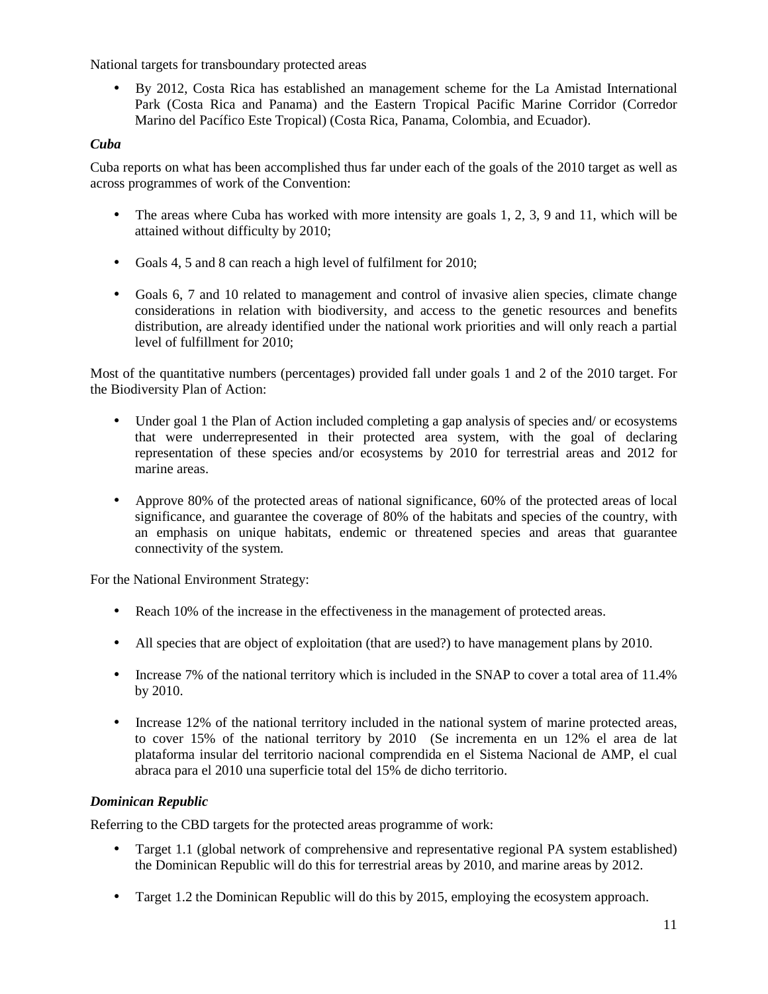National targets for transboundary protected areas

• By 2012, Costa Rica has established an management scheme for the La Amistad International Park (Costa Rica and Panama) and the Eastern Tropical Pacific Marine Corridor (Corredor Marino del Pacífico Este Tropical) (Costa Rica, Panama, Colombia, and Ecuador).

# *Cuba*

Cuba reports on what has been accomplished thus far under each of the goals of the 2010 target as well as across programmes of work of the Convention:

- The areas where Cuba has worked with more intensity are goals 1, 2, 3, 9 and 11, which will be attained without difficulty by 2010;
- Goals 4, 5 and 8 can reach a high level of fulfilment for 2010;
- Goals 6, 7 and 10 related to management and control of invasive alien species, climate change considerations in relation with biodiversity, and access to the genetic resources and benefits distribution, are already identified under the national work priorities and will only reach a partial level of fulfillment for 2010;

Most of the quantitative numbers (percentages) provided fall under goals 1 and 2 of the 2010 target. For the Biodiversity Plan of Action:

- Under goal 1 the Plan of Action included completing a gap analysis of species and/ or ecosystems that were underrepresented in their protected area system, with the goal of declaring representation of these species and/or ecosystems by 2010 for terrestrial areas and 2012 for marine areas.
- Approve 80% of the protected areas of national significance, 60% of the protected areas of local significance, and guarantee the coverage of 80% of the habitats and species of the country, with an emphasis on unique habitats, endemic or threatened species and areas that guarantee connectivity of the system.

For the National Environment Strategy:

- Reach 10% of the increase in the effectiveness in the management of protected areas.
- All species that are object of exploitation (that are used?) to have management plans by 2010.
- Increase 7% of the national territory which is included in the SNAP to cover a total area of 11.4% by 2010.
- Increase 12% of the national territory included in the national system of marine protected areas, to cover 15% of the national territory by 2010 (Se incrementa en un 12% el area de lat plataforma insular del territorio nacional comprendida en el Sistema Nacional de AMP, el cual abraca para el 2010 una superficie total del 15% de dicho territorio.

# *Dominican Republic*

Referring to the CBD targets for the protected areas programme of work:

- Target 1.1 (global network of comprehensive and representative regional PA system established) the Dominican Republic will do this for terrestrial areas by 2010, and marine areas by 2012.
- Target 1.2 the Dominican Republic will do this by 2015, employing the ecosystem approach.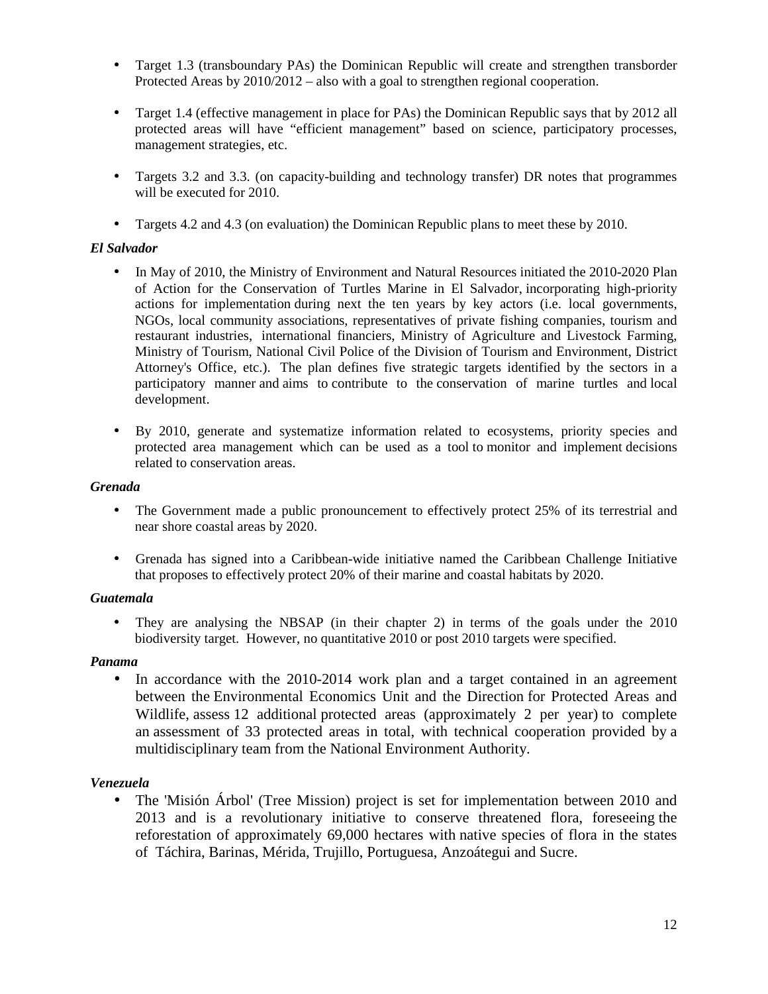- Target 1.3 (transboundary PAs) the Dominican Republic will create and strengthen transborder Protected Areas by 2010/2012 – also with a goal to strengthen regional cooperation.
- Target 1.4 (effective management in place for PAs) the Dominican Republic says that by 2012 all protected areas will have "efficient management" based on science, participatory processes, management strategies, etc.
- Targets 3.2 and 3.3. (on capacity-building and technology transfer) DR notes that programmes will be executed for 2010.
- Targets 4.2 and 4.3 (on evaluation) the Dominican Republic plans to meet these by 2010.

### *El Salvador*

- In May of 2010, the Ministry of Environment and Natural Resources initiated the 2010-2020 Plan of Action for the Conservation of Turtles Marine in El Salvador, incorporating high-priority actions for implementation during next the ten years by key actors (i.e. local governments, NGOs, local community associations, representatives of private fishing companies, tourism and restaurant industries, international financiers, Ministry of Agriculture and Livestock Farming, Ministry of Tourism, National Civil Police of the Division of Tourism and Environment, District Attorney's Office, etc.). The plan defines five strategic targets identified by the sectors in a participatory manner and aims to contribute to the conservation of marine turtles and local development.
- By 2010, generate and systematize information related to ecosystems, priority species and protected area management which can be used as a tool to monitor and implement decisions related to conservation areas.

### *Grenada*

- The Government made a public pronouncement to effectively protect 25% of its terrestrial and near shore coastal areas by 2020.
- Grenada has signed into a Caribbean-wide initiative named the Caribbean Challenge Initiative that proposes to effectively protect 20% of their marine and coastal habitats by 2020.

### *Guatemala*

• They are analysing the NBSAP (in their chapter 2) in terms of the goals under the 2010 biodiversity target. However, no quantitative 2010 or post 2010 targets were specified.

### *Panama*

• In accordance with the 2010-2014 work plan and a target contained in an agreement between the Environmental Economics Unit and the Direction for Protected Areas and Wildlife, assess 12 additional protected areas (approximately 2 per year) to complete an assessment of 33 protected areas in total, with technical cooperation provided by a multidisciplinary team from the National Environment Authority.

# *Venezuela*

• The 'Misión Árbol' (Tree Mission) project is set for implementation between 2010 and 2013 and is a revolutionary initiative to conserve threatened flora, foreseeing the reforestation of approximately 69,000 hectares with native species of flora in the states of Táchira, Barinas, Mérida, Trujillo, Portuguesa, Anzoátegui and Sucre.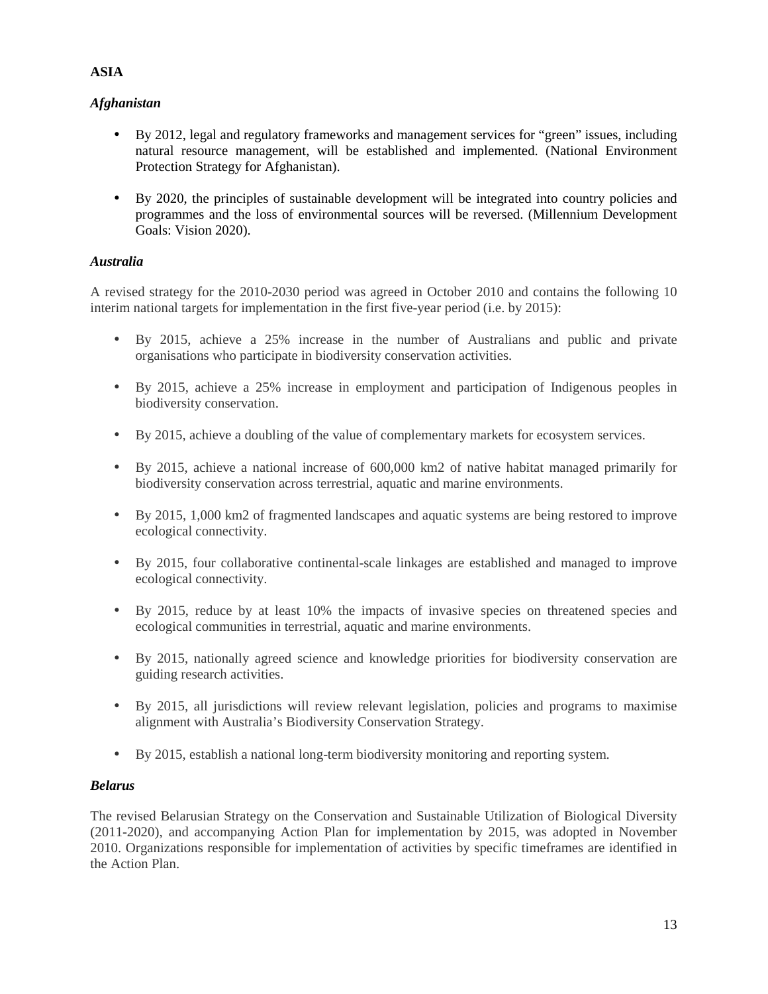# *Afghanistan*

- By 2012, legal and regulatory frameworks and management services for "green" issues, including natural resource management, will be established and implemented. (National Environment Protection Strategy for Afghanistan).
- By 2020, the principles of sustainable development will be integrated into country policies and programmes and the loss of environmental sources will be reversed. (Millennium Development Goals: Vision 2020).

## *Australia*

A revised strategy for the 2010-2030 period was agreed in October 2010 and contains the following 10 interim national targets for implementation in the first five-year period (i.e. by 2015):

- By 2015, achieve a 25% increase in the number of Australians and public and private organisations who participate in biodiversity conservation activities.
- By 2015, achieve a 25% increase in employment and participation of Indigenous peoples in biodiversity conservation.
- By 2015, achieve a doubling of the value of complementary markets for ecosystem services.
- By 2015, achieve a national increase of 600,000 km2 of native habitat managed primarily for biodiversity conservation across terrestrial, aquatic and marine environments.
- By 2015, 1,000 km2 of fragmented landscapes and aquatic systems are being restored to improve ecological connectivity.
- By 2015, four collaborative continental-scale linkages are established and managed to improve ecological connectivity.
- By 2015, reduce by at least 10% the impacts of invasive species on threatened species and ecological communities in terrestrial, aquatic and marine environments.
- By 2015, nationally agreed science and knowledge priorities for biodiversity conservation are guiding research activities.
- By 2015, all jurisdictions will review relevant legislation, policies and programs to maximise alignment with Australia's Biodiversity Conservation Strategy.
- By 2015, establish a national long-term biodiversity monitoring and reporting system.

### *Belarus*

The revised Belarusian Strategy on the Conservation and Sustainable Utilization of Biological Diversity (2011-2020), and accompanying Action Plan for implementation by 2015, was adopted in November 2010. Organizations responsible for implementation of activities by specific timeframes are identified in the Action Plan.

## **ASIA**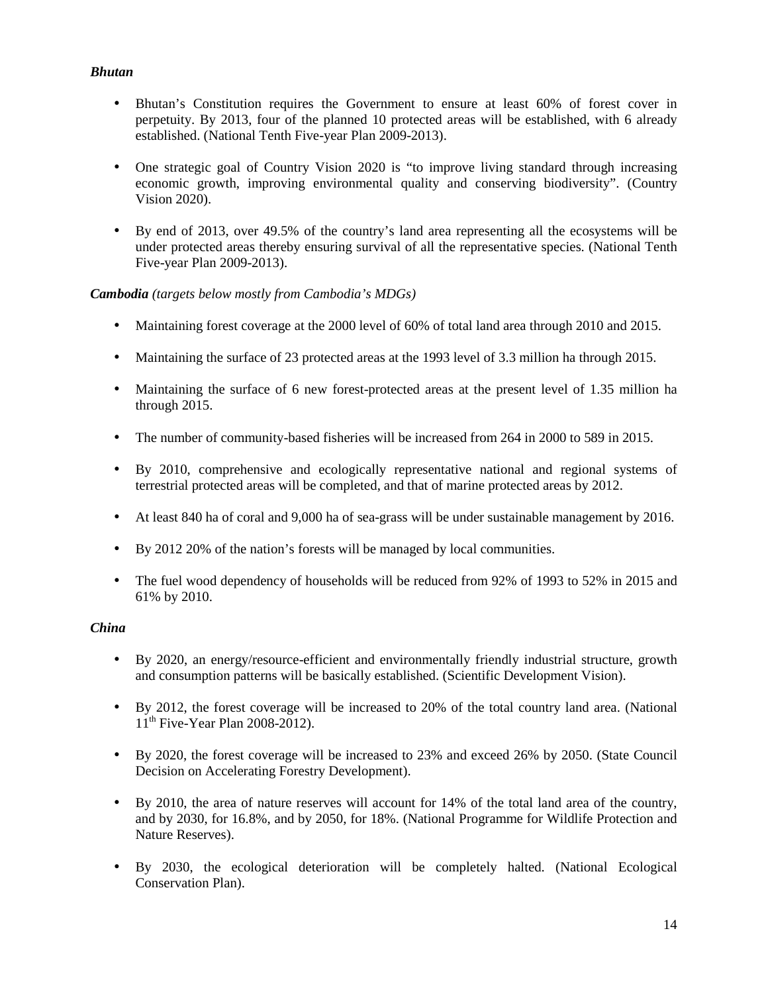# *Bhutan*

- Bhutan's Constitution requires the Government to ensure at least 60% of forest cover in perpetuity. By 2013, four of the planned 10 protected areas will be established, with 6 already established. (National Tenth Five-year Plan 2009-2013).
- One strategic goal of Country Vision 2020 is "to improve living standard through increasing economic growth, improving environmental quality and conserving biodiversity". (Country Vision 2020).
- By end of 2013, over 49.5% of the country's land area representing all the ecosystems will be under protected areas thereby ensuring survival of all the representative species. (National Tenth Five-year Plan 2009-2013).

# *Cambodia (targets below mostly from Cambodia's MDGs)*

- Maintaining forest coverage at the 2000 level of 60% of total land area through 2010 and 2015.
- Maintaining the surface of 23 protected areas at the 1993 level of 3.3 million ha through 2015.
- Maintaining the surface of 6 new forest-protected areas at the present level of 1.35 million ha through 2015.
- The number of community-based fisheries will be increased from 264 in 2000 to 589 in 2015.
- By 2010, comprehensive and ecologically representative national and regional systems of terrestrial protected areas will be completed, and that of marine protected areas by 2012.
- At least 840 ha of coral and 9,000 ha of sea-grass will be under sustainable management by 2016.
- By 2012 20% of the nation's forests will be managed by local communities.
- The fuel wood dependency of households will be reduced from 92% of 1993 to 52% in 2015 and 61% by 2010.

# *China*

- By 2020, an energy/resource-efficient and environmentally friendly industrial structure, growth and consumption patterns will be basically established. (Scientific Development Vision).
- By 2012, the forest coverage will be increased to 20% of the total country land area. (National  $11<sup>th</sup>$  Five-Year Plan 2008-2012).
- By 2020, the forest coverage will be increased to 23% and exceed 26% by 2050. (State Council Decision on Accelerating Forestry Development).
- By 2010, the area of nature reserves will account for 14% of the total land area of the country, and by 2030, for 16.8%, and by 2050, for 18%. (National Programme for Wildlife Protection and Nature Reserves).
- By 2030, the ecological deterioration will be completely halted. (National Ecological Conservation Plan).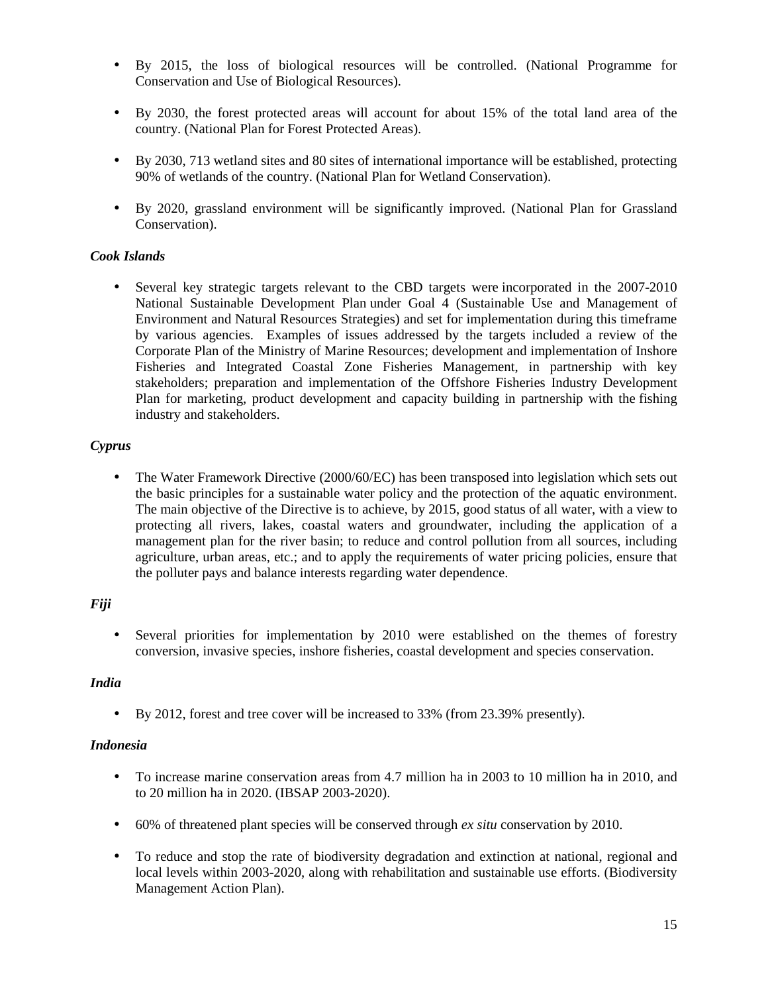- By 2015, the loss of biological resources will be controlled. (National Programme for Conservation and Use of Biological Resources).
- By 2030, the forest protected areas will account for about 15% of the total land area of the country. (National Plan for Forest Protected Areas).
- By 2030, 713 wetland sites and 80 sites of international importance will be established, protecting 90% of wetlands of the country. (National Plan for Wetland Conservation).
- By 2020, grassland environment will be significantly improved. (National Plan for Grassland Conservation).

# *Cook Islands*

• Several key strategic targets relevant to the CBD targets were incorporated in the 2007-2010 National Sustainable Development Plan under Goal 4 (Sustainable Use and Management of Environment and Natural Resources Strategies) and set for implementation during this timeframe by various agencies. Examples of issues addressed by the targets included a review of the Corporate Plan of the Ministry of Marine Resources; development and implementation of Inshore Fisheries and Integrated Coastal Zone Fisheries Management, in partnership with key stakeholders; preparation and implementation of the Offshore Fisheries Industry Development Plan for marketing, product development and capacity building in partnership with the fishing industry and stakeholders.

## *Cyprus*

• The Water Framework Directive (2000/60/EC) has been transposed into legislation which sets out the basic principles for a sustainable water policy and the protection of the aquatic environment. The main objective of the Directive is to achieve, by 2015, good status of all water, with a view to protecting all rivers, lakes, coastal waters and groundwater, including the application of a management plan for the river basin; to reduce and control pollution from all sources, including agriculture, urban areas, etc.; and to apply the requirements of water pricing policies, ensure that the polluter pays and balance interests regarding water dependence.

# *Fiji*

• Several priorities for implementation by 2010 were established on the themes of forestry conversion, invasive species, inshore fisheries, coastal development and species conservation.

### *India*

• By 2012, forest and tree cover will be increased to 33% (from 23.39% presently).

# *Indonesia*

- To increase marine conservation areas from 4.7 million ha in 2003 to 10 million ha in 2010, and to 20 million ha in 2020. (IBSAP 2003-2020).
- 60% of threatened plant species will be conserved through *ex situ* conservation by 2010.
- To reduce and stop the rate of biodiversity degradation and extinction at national, regional and local levels within 2003-2020, along with rehabilitation and sustainable use efforts. (Biodiversity Management Action Plan).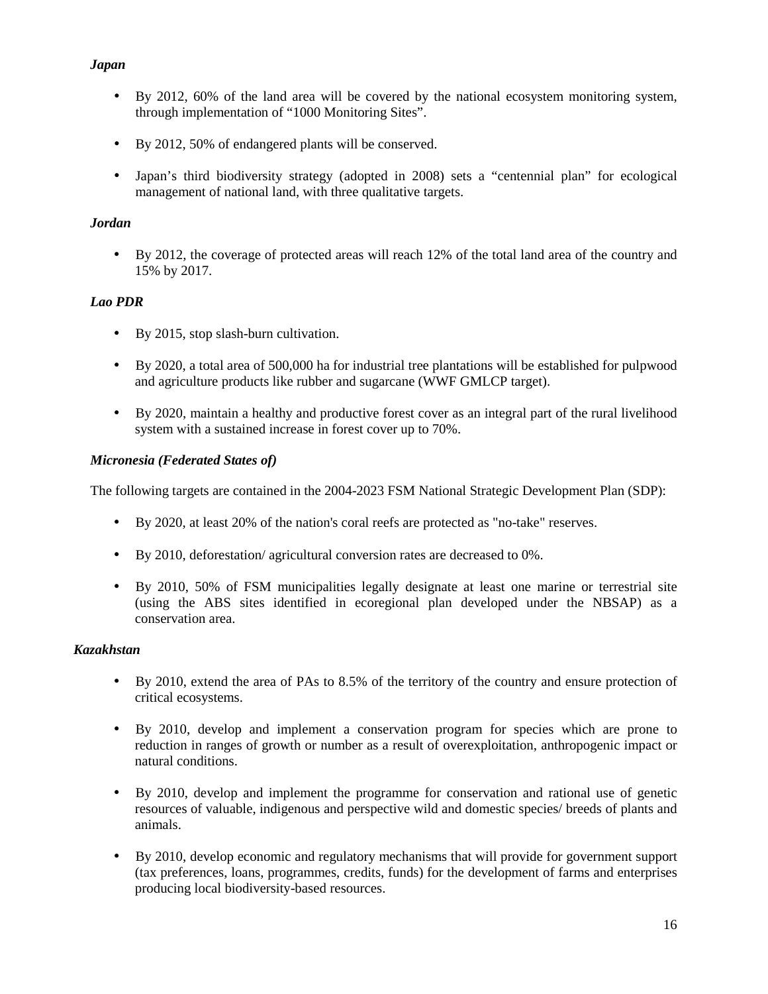# *Japan*

- By 2012, 60% of the land area will be covered by the national ecosystem monitoring system, through implementation of "1000 Monitoring Sites".
- By 2012, 50% of endangered plants will be conserved.
- Japan's third biodiversity strategy (adopted in 2008) sets a "centennial plan" for ecological management of national land, with three qualitative targets.

# *Jordan*

• By 2012, the coverage of protected areas will reach 12% of the total land area of the country and 15% by 2017.

# *Lao PDR*

- By 2015, stop slash-burn cultivation.
- By 2020, a total area of 500,000 ha for industrial tree plantations will be established for pulpwood and agriculture products like rubber and sugarcane (WWF GMLCP target).
- By 2020, maintain a healthy and productive forest cover as an integral part of the rural livelihood system with a sustained increase in forest cover up to 70%.

# *Micronesia (Federated States of)*

The following targets are contained in the 2004-2023 FSM National Strategic Development Plan (SDP):

- By 2020, at least 20% of the nation's coral reefs are protected as "no-take" reserves.
- By 2010, deforestation/ agricultural conversion rates are decreased to 0%.
- By 2010, 50% of FSM municipalities legally designate at least one marine or terrestrial site (using the ABS sites identified in ecoregional plan developed under the NBSAP) as a conservation area.

# *Kazakhstan*

- By 2010, extend the area of PAs to 8.5% of the territory of the country and ensure protection of critical ecosystems.
- By 2010, develop and implement a conservation program for species which are prone to reduction in ranges of growth or number as a result of overexploitation, anthropogenic impact or natural conditions.
- By 2010, develop and implement the programme for conservation and rational use of genetic resources of valuable, indigenous and perspective wild and domestic species/ breeds of plants and animals.
- By 2010, develop economic and regulatory mechanisms that will provide for government support (tax preferences, loans, programmes, credits, funds) for the development of farms and enterprises producing local biodiversity-based resources.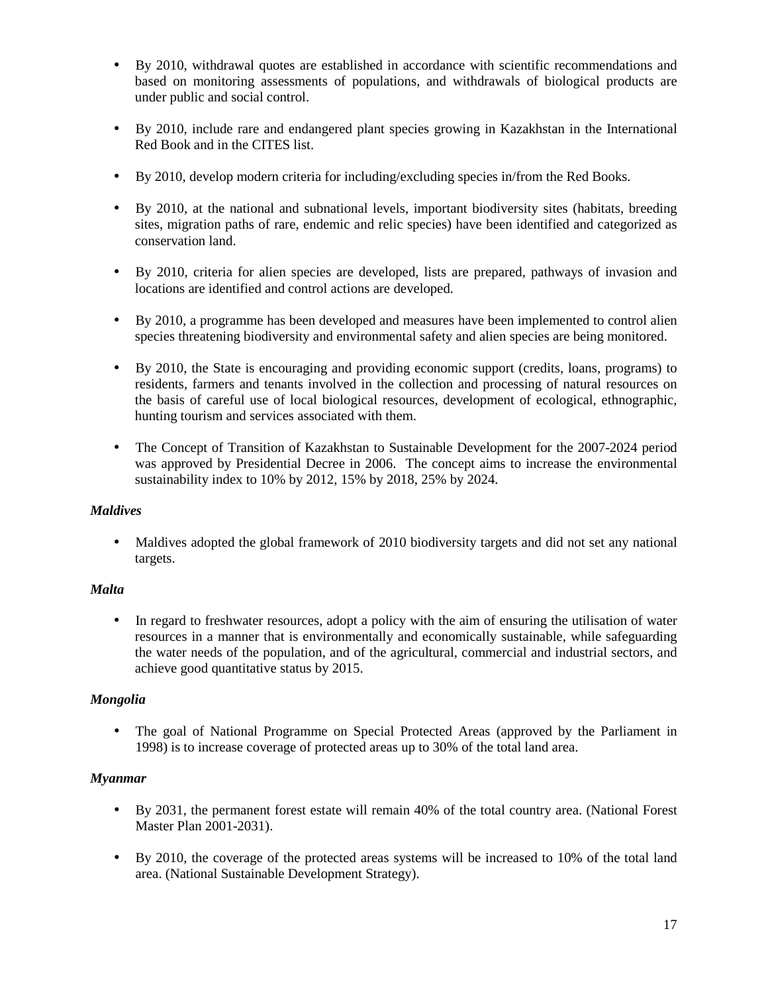- By 2010, withdrawal quotes are established in accordance with scientific recommendations and based on monitoring assessments of populations, and withdrawals of biological products are under public and social control.
- By 2010, include rare and endangered plant species growing in Kazakhstan in the International Red Book and in the CITES list.
- By 2010, develop modern criteria for including/excluding species in/from the Red Books.
- By 2010, at the national and subnational levels, important biodiversity sites (habitats, breeding sites, migration paths of rare, endemic and relic species) have been identified and categorized as conservation land.
- By 2010, criteria for alien species are developed, lists are prepared, pathways of invasion and locations are identified and control actions are developed.
- By 2010, a programme has been developed and measures have been implemented to control alien species threatening biodiversity and environmental safety and alien species are being monitored.
- By 2010, the State is encouraging and providing economic support (credits, loans, programs) to residents, farmers and tenants involved in the collection and processing of natural resources on the basis of careful use of local biological resources, development of ecological, ethnographic, hunting tourism and services associated with them.
- The Concept of Transition of Kazakhstan to Sustainable Development for the 2007-2024 period was approved by Presidential Decree in 2006. The concept aims to increase the environmental sustainability index to 10% by 2012, 15% by 2018, 25% by 2024.

### *Maldives*

• Maldives adopted the global framework of 2010 biodiversity targets and did not set any national targets.

### *Malta*

• In regard to freshwater resources, adopt a policy with the aim of ensuring the utilisation of water resources in a manner that is environmentally and economically sustainable, while safeguarding the water needs of the population, and of the agricultural, commercial and industrial sectors, and achieve good quantitative status by 2015.

### *Mongolia*

• The goal of National Programme on Special Protected Areas (approved by the Parliament in 1998) is to increase coverage of protected areas up to 30% of the total land area.

### *Myanmar*

- By 2031, the permanent forest estate will remain 40% of the total country area. (National Forest Master Plan 2001-2031).
- By 2010, the coverage of the protected areas systems will be increased to 10% of the total land area. (National Sustainable Development Strategy).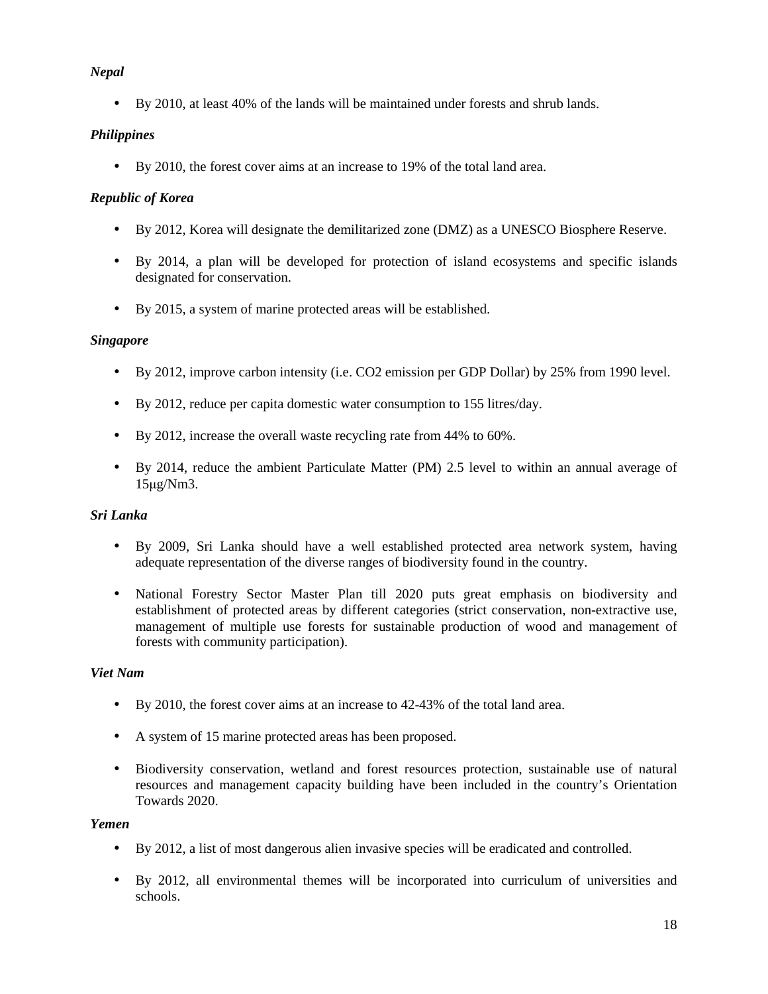# *Nepal*

• By 2010, at least 40% of the lands will be maintained under forests and shrub lands.

# *Philippines*

• By 2010, the forest cover aims at an increase to 19% of the total land area.

# *Republic of Korea*

- By 2012, Korea will designate the demilitarized zone (DMZ) as a UNESCO Biosphere Reserve.
- By 2014, a plan will be developed for protection of island ecosystems and specific islands designated for conservation.
- By 2015, a system of marine protected areas will be established.

## *Singapore*

- By 2012, improve carbon intensity (i.e. CO2 emission per GDP Dollar) by 25% from 1990 level.
- By 2012, reduce per capita domestic water consumption to 155 litres/day.
- By 2012, increase the overall waste recycling rate from 44% to 60%.
- By 2014, reduce the ambient Particulate Matter (PM) 2.5 level to within an annual average of 15µg/Nm3.

# *Sri Lanka*

- By 2009, Sri Lanka should have a well established protected area network system, having adequate representation of the diverse ranges of biodiversity found in the country.
- National Forestry Sector Master Plan till 2020 puts great emphasis on biodiversity and establishment of protected areas by different categories (strict conservation, non-extractive use, management of multiple use forests for sustainable production of wood and management of forests with community participation).

### *Viet Nam*

- By 2010, the forest cover aims at an increase to 42-43% of the total land area.
- A system of 15 marine protected areas has been proposed.
- Biodiversity conservation, wetland and forest resources protection, sustainable use of natural resources and management capacity building have been included in the country's Orientation Towards 2020.

### *Yemen*

- By 2012, a list of most dangerous alien invasive species will be eradicated and controlled.
- By 2012, all environmental themes will be incorporated into curriculum of universities and schools.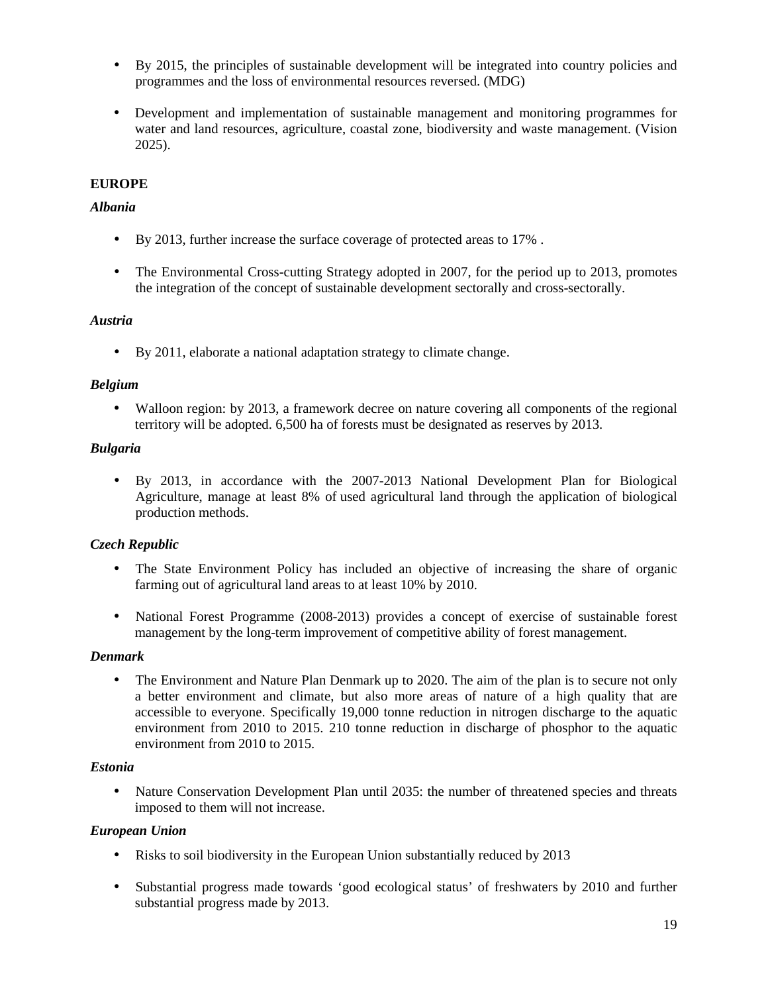- By 2015, the principles of sustainable development will be integrated into country policies and programmes and the loss of environmental resources reversed. (MDG)
- Development and implementation of sustainable management and monitoring programmes for water and land resources, agriculture, coastal zone, biodiversity and waste management. (Vision 2025).

# **EUROPE**

## *Albania*

- By 2013, further increase the surface coverage of protected areas to 17% .
- The Environmental Cross-cutting Strategy adopted in 2007, for the period up to 2013, promotes the integration of the concept of sustainable development sectorally and cross-sectorally.

### *Austria*

• By 2011, elaborate a national adaptation strategy to climate change.

## *Belgium*

• Walloon region: by 2013, a framework decree on nature covering all components of the regional territory will be adopted. 6,500 ha of forests must be designated as reserves by 2013.

## *Bulgaria*

• By 2013, in accordance with the 2007-2013 National Development Plan for Biological Agriculture, manage at least 8% of used agricultural land through the application of biological production methods.

# *Czech Republic*

- The State Environment Policy has included an objective of increasing the share of organic farming out of agricultural land areas to at least 10% by 2010.
- National Forest Programme (2008-2013) provides a concept of exercise of sustainable forest management by the long-term improvement of competitive ability of forest management.

# *Denmark*

• The Environment and Nature Plan Denmark up to 2020. The aim of the plan is to secure not only a better environment and climate, but also more areas of nature of a high quality that are accessible to everyone. Specifically 19,000 tonne reduction in nitrogen discharge to the aquatic environment from 2010 to 2015. 210 tonne reduction in discharge of phosphor to the aquatic environment from 2010 to 2015.

### *Estonia*

• Nature Conservation Development Plan until 2035: the number of threatened species and threats imposed to them will not increase.

### *European Union*

- Risks to soil biodiversity in the European Union substantially reduced by 2013
- Substantial progress made towards 'good ecological status' of freshwaters by 2010 and further substantial progress made by 2013.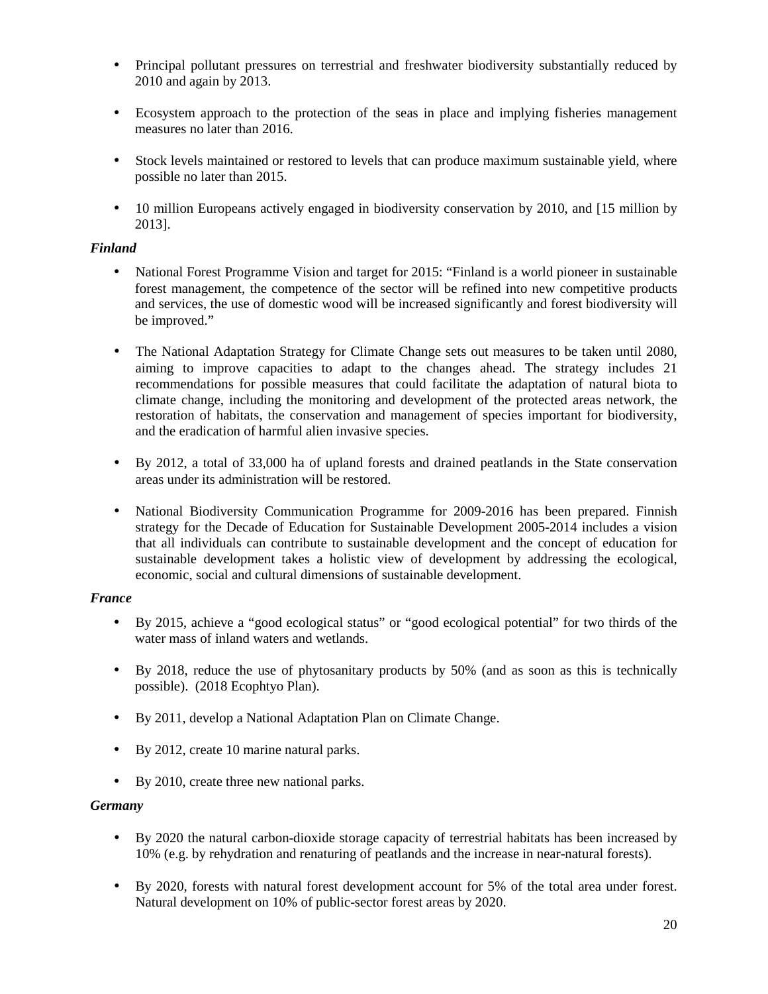- Principal pollutant pressures on terrestrial and freshwater biodiversity substantially reduced by 2010 and again by 2013.
- Ecosystem approach to the protection of the seas in place and implying fisheries management measures no later than 2016.
- Stock levels maintained or restored to levels that can produce maximum sustainable yield, where possible no later than 2015.
- 10 million Europeans actively engaged in biodiversity conservation by 2010, and [15 million by 2013].

### *Finland*

- National Forest Programme Vision and target for 2015: "Finland is a world pioneer in sustainable forest management, the competence of the sector will be refined into new competitive products and services, the use of domestic wood will be increased significantly and forest biodiversity will be improved."
- The National Adaptation Strategy for Climate Change sets out measures to be taken until 2080, aiming to improve capacities to adapt to the changes ahead. The strategy includes 21 recommendations for possible measures that could facilitate the adaptation of natural biota to climate change, including the monitoring and development of the protected areas network, the restoration of habitats, the conservation and management of species important for biodiversity, and the eradication of harmful alien invasive species.
- By 2012, a total of 33,000 ha of upland forests and drained peatlands in the State conservation areas under its administration will be restored.
- National Biodiversity Communication Programme for 2009-2016 has been prepared. Finnish strategy for the Decade of Education for Sustainable Development 2005-2014 includes a vision that all individuals can contribute to sustainable development and the concept of education for sustainable development takes a holistic view of development by addressing the ecological, economic, social and cultural dimensions of sustainable development.

# *France*

- By 2015, achieve a "good ecological status" or "good ecological potential" for two thirds of the water mass of inland waters and wetlands.
- By 2018, reduce the use of phytosanitary products by 50% (and as soon as this is technically possible). (2018 Ecophtyo Plan).
- By 2011, develop a National Adaptation Plan on Climate Change.
- By 2012, create 10 marine natural parks.
- By 2010, create three new national parks.

# *Germany*

- By 2020 the natural carbon-dioxide storage capacity of terrestrial habitats has been increased by 10% (e.g. by rehydration and renaturing of peatlands and the increase in near-natural forests).
- By 2020, forests with natural forest development account for 5% of the total area under forest. Natural development on 10% of public-sector forest areas by 2020.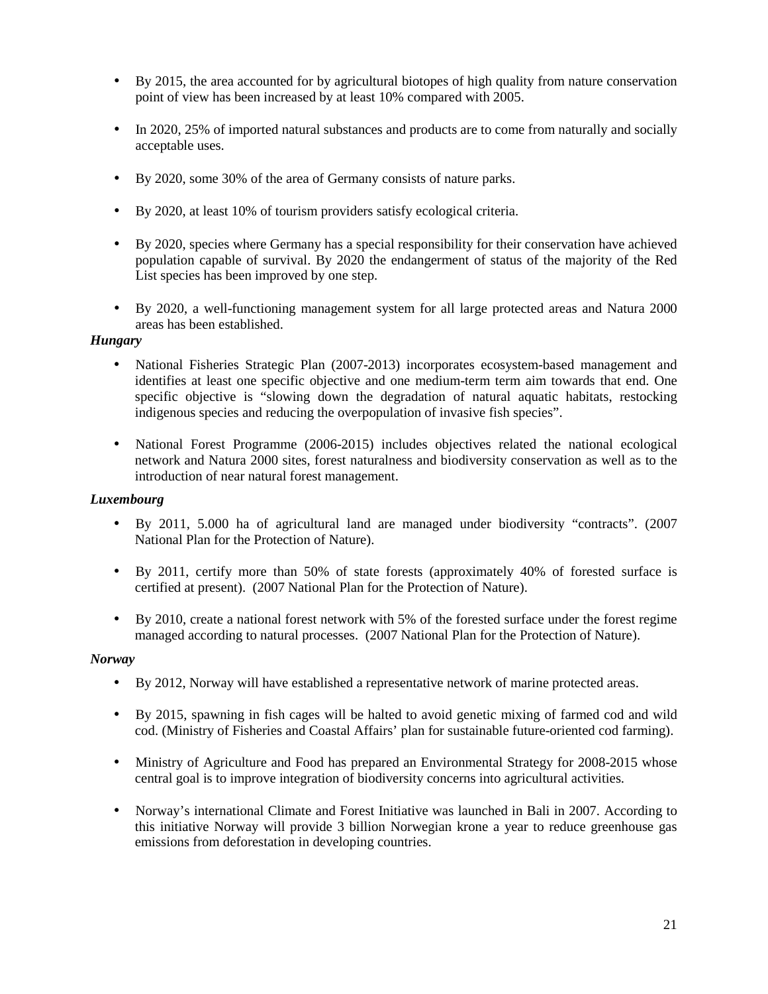- By 2015, the area accounted for by agricultural biotopes of high quality from nature conservation point of view has been increased by at least 10% compared with 2005.
- In 2020, 25% of imported natural substances and products are to come from naturally and socially acceptable uses.
- By 2020, some 30% of the area of Germany consists of nature parks.
- By 2020, at least 10% of tourism providers satisfy ecological criteria.
- By 2020, species where Germany has a special responsibility for their conservation have achieved population capable of survival. By 2020 the endangerment of status of the majority of the Red List species has been improved by one step.
- By 2020, a well-functioning management system for all large protected areas and Natura 2000 areas has been established.

### *Hungary*

- National Fisheries Strategic Plan (2007-2013) incorporates ecosystem-based management and identifies at least one specific objective and one medium-term term aim towards that end. One specific objective is "slowing down the degradation of natural aquatic habitats, restocking indigenous species and reducing the overpopulation of invasive fish species".
- National Forest Programme (2006-2015) includes objectives related the national ecological network and Natura 2000 sites, forest naturalness and biodiversity conservation as well as to the introduction of near natural forest management.

### *Luxembourg*

- By 2011, 5.000 ha of agricultural land are managed under biodiversity "contracts". (2007 National Plan for the Protection of Nature).
- By 2011, certify more than 50% of state forests (approximately 40% of forested surface is certified at present). (2007 National Plan for the Protection of Nature).
- By 2010, create a national forest network with 5% of the forested surface under the forest regime managed according to natural processes. (2007 National Plan for the Protection of Nature).

### *Norway*

- By 2012, Norway will have established a representative network of marine protected areas.
- By 2015, spawning in fish cages will be halted to avoid genetic mixing of farmed cod and wild cod. (Ministry of Fisheries and Coastal Affairs' plan for sustainable future-oriented cod farming).
- Ministry of Agriculture and Food has prepared an Environmental Strategy for 2008-2015 whose central goal is to improve integration of biodiversity concerns into agricultural activities.
- Norway's international Climate and Forest Initiative was launched in Bali in 2007. According to this initiative Norway will provide 3 billion Norwegian krone a year to reduce greenhouse gas emissions from deforestation in developing countries.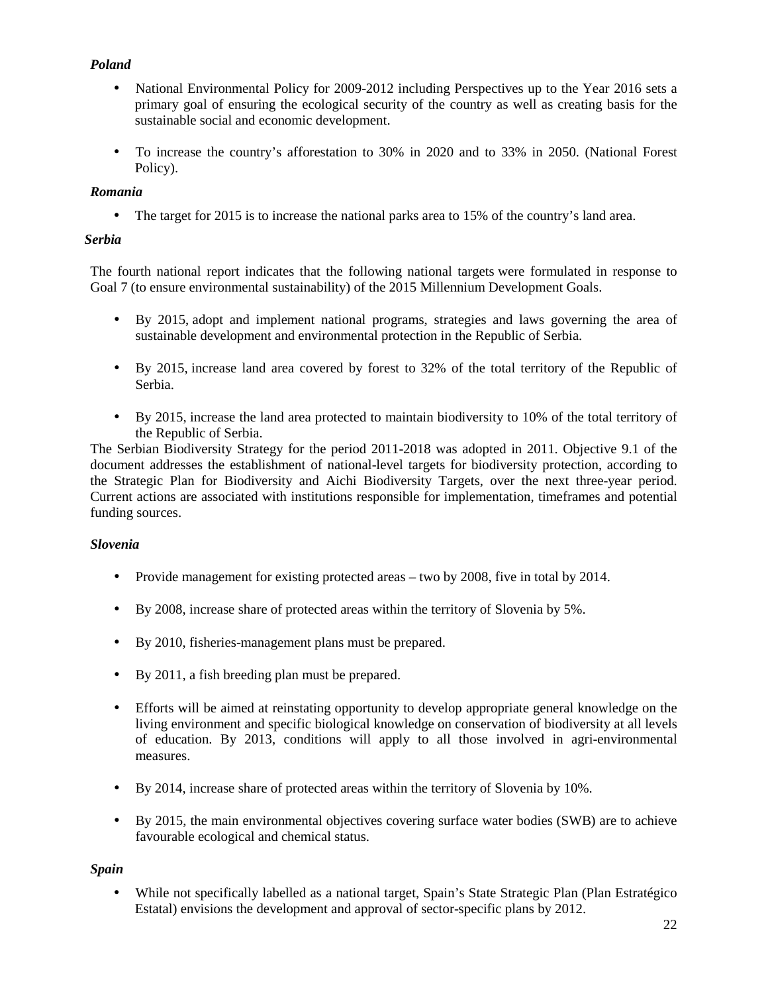# *Poland*

- National Environmental Policy for 2009-2012 including Perspectives up to the Year 2016 sets a primary goal of ensuring the ecological security of the country as well as creating basis for the sustainable social and economic development.
- To increase the country's afforestation to 30% in 2020 and to 33% in 2050. (National Forest Policy).

## *Romania*

• The target for 2015 is to increase the national parks area to 15% of the country's land area.

## *Serbia*

The fourth national report indicates that the following national targets were formulated in response to Goal 7 (to ensure environmental sustainability) of the 2015 Millennium Development Goals.

- By 2015, adopt and implement national programs, strategies and laws governing the area of sustainable development and environmental protection in the Republic of Serbia.
- By 2015, increase land area covered by forest to 32% of the total territory of the Republic of Serbia.
- By 2015, increase the land area protected to maintain biodiversity to 10% of the total territory of the Republic of Serbia.

The Serbian Biodiversity Strategy for the period 2011-2018 was adopted in 2011. Objective 9.1 of the document addresses the establishment of national-level targets for biodiversity protection, according to the Strategic Plan for Biodiversity and Aichi Biodiversity Targets, over the next three-year period. Current actions are associated with institutions responsible for implementation, timeframes and potential funding sources.

### *Slovenia*

- Provide management for existing protected areas two by 2008, five in total by 2014.
- By 2008, increase share of protected areas within the territory of Slovenia by 5%.
- By 2010, fisheries-management plans must be prepared.
- By 2011, a fish breeding plan must be prepared.
- Efforts will be aimed at reinstating opportunity to develop appropriate general knowledge on the living environment and specific biological knowledge on conservation of biodiversity at all levels of education. By 2013, conditions will apply to all those involved in agri-environmental measures.
- By 2014, increase share of protected areas within the territory of Slovenia by 10%.
- By 2015, the main environmental objectives covering surface water bodies (SWB) are to achieve favourable ecological and chemical status.

### *Spain*

• While not specifically labelled as a national target, Spain's State Strategic Plan (Plan Estratégico) Estatal) envisions the development and approval of sector-specific plans by 2012.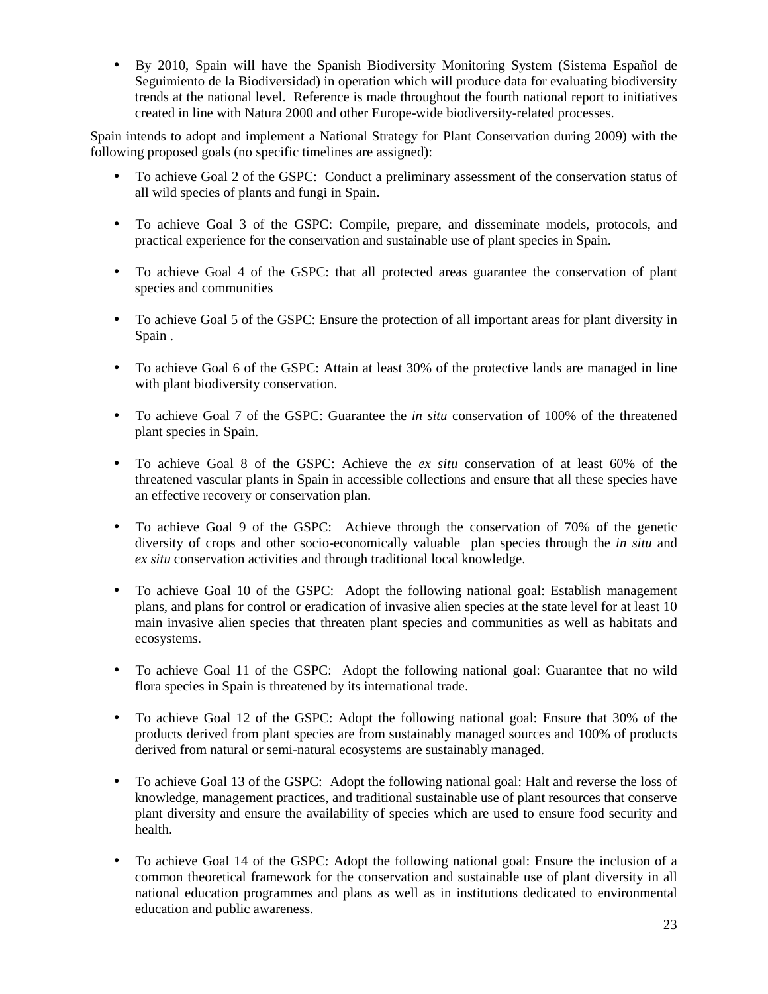• By 2010, Spain will have the Spanish Biodiversity Monitoring System (Sistema Español de Seguimiento de la Biodiversidad) in operation which will produce data for evaluating biodiversity trends at the national level. Reference is made throughout the fourth national report to initiatives created in line with Natura 2000 and other Europe-wide biodiversity-related processes.

Spain intends to adopt and implement a National Strategy for Plant Conservation during 2009) with the following proposed goals (no specific timelines are assigned):

- To achieve Goal 2 of the GSPC: Conduct a preliminary assessment of the conservation status of all wild species of plants and fungi in Spain.
- To achieve Goal 3 of the GSPC: Compile, prepare, and disseminate models, protocols, and practical experience for the conservation and sustainable use of plant species in Spain.
- To achieve Goal 4 of the GSPC: that all protected areas guarantee the conservation of plant species and communities
- To achieve Goal 5 of the GSPC: Ensure the protection of all important areas for plant diversity in Spain .
- To achieve Goal 6 of the GSPC: Attain at least 30% of the protective lands are managed in line with plant biodiversity conservation.
- To achieve Goal 7 of the GSPC: Guarantee the *in situ* conservation of 100% of the threatened plant species in Spain.
- To achieve Goal 8 of the GSPC: Achieve the *ex situ* conservation of at least 60% of the threatened vascular plants in Spain in accessible collections and ensure that all these species have an effective recovery or conservation plan.
- To achieve Goal 9 of the GSPC: Achieve through the conservation of 70% of the genetic diversity of crops and other socio-economically valuable plan species through the *in situ* and *ex situ* conservation activities and through traditional local knowledge.
- To achieve Goal 10 of the GSPC: Adopt the following national goal: Establish management plans, and plans for control or eradication of invasive alien species at the state level for at least 10 main invasive alien species that threaten plant species and communities as well as habitats and ecosystems.
- To achieve Goal 11 of the GSPC: Adopt the following national goal: Guarantee that no wild flora species in Spain is threatened by its international trade.
- To achieve Goal 12 of the GSPC: Adopt the following national goal: Ensure that 30% of the products derived from plant species are from sustainably managed sources and 100% of products derived from natural or semi-natural ecosystems are sustainably managed.
- To achieve Goal 13 of the GSPC: Adopt the following national goal: Halt and reverse the loss of knowledge, management practices, and traditional sustainable use of plant resources that conserve plant diversity and ensure the availability of species which are used to ensure food security and health.
- To achieve Goal 14 of the GSPC: Adopt the following national goal: Ensure the inclusion of a common theoretical framework for the conservation and sustainable use of plant diversity in all national education programmes and plans as well as in institutions dedicated to environmental education and public awareness.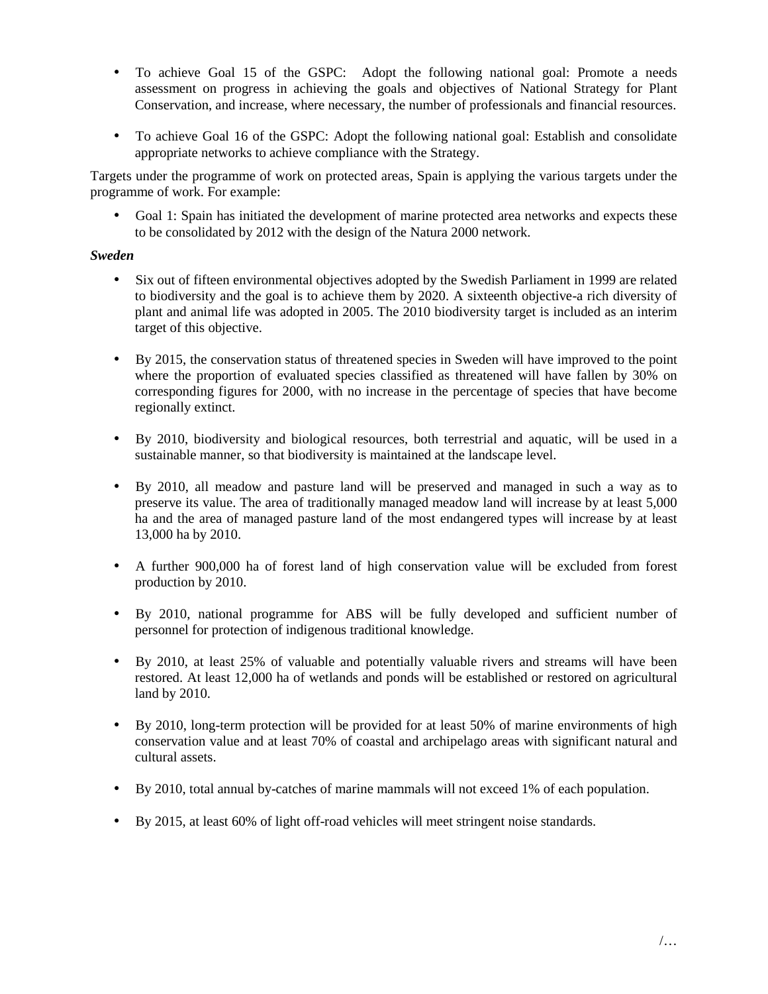- To achieve Goal 15 of the GSPC: Adopt the following national goal: Promote a needs assessment on progress in achieving the goals and objectives of National Strategy for Plant Conservation, and increase, where necessary, the number of professionals and financial resources.
- To achieve Goal 16 of the GSPC: Adopt the following national goal: Establish and consolidate appropriate networks to achieve compliance with the Strategy.

Targets under the programme of work on protected areas, Spain is applying the various targets under the programme of work. For example:

Goal 1: Spain has initiated the development of marine protected area networks and expects these to be consolidated by 2012 with the design of the Natura 2000 network.

### *Sweden*

- Six out of fifteen environmental objectives adopted by the Swedish Parliament in 1999 are related to biodiversity and the goal is to achieve them by 2020. A sixteenth objective-a rich diversity of plant and animal life was adopted in 2005. The 2010 biodiversity target is included as an interim target of this objective.
- By 2015, the conservation status of threatened species in Sweden will have improved to the point where the proportion of evaluated species classified as threatened will have fallen by 30% on corresponding figures for 2000, with no increase in the percentage of species that have become regionally extinct.
- By 2010, biodiversity and biological resources, both terrestrial and aquatic, will be used in a sustainable manner, so that biodiversity is maintained at the landscape level.
- By 2010, all meadow and pasture land will be preserved and managed in such a way as to preserve its value. The area of traditionally managed meadow land will increase by at least 5,000 ha and the area of managed pasture land of the most endangered types will increase by at least 13,000 ha by 2010.
- A further 900,000 ha of forest land of high conservation value will be excluded from forest production by 2010.
- By 2010, national programme for ABS will be fully developed and sufficient number of personnel for protection of indigenous traditional knowledge.
- By 2010, at least 25% of valuable and potentially valuable rivers and streams will have been restored. At least 12,000 ha of wetlands and ponds will be established or restored on agricultural land by 2010.
- By 2010, long-term protection will be provided for at least 50% of marine environments of high conservation value and at least 70% of coastal and archipelago areas with significant natural and cultural assets.
- By 2010, total annual by-catches of marine mammals will not exceed 1% of each population.
- By 2015, at least 60% of light off-road vehicles will meet stringent noise standards.